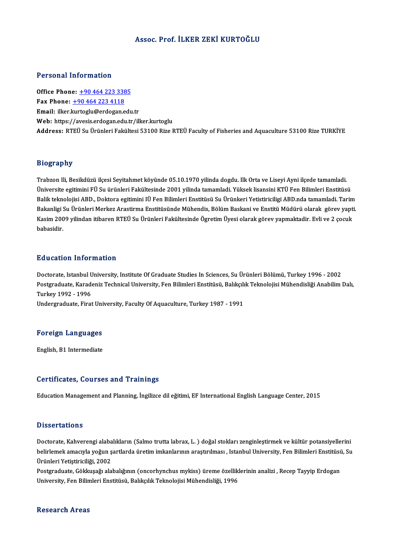### Assoc. Prof. İLKER ZEKİ KURTOĞLU

#### Personal Information

Office Phone: +90 464 223 3385 Fax Phone:  $+904642234118$ Email: ilker.[kurtoglu@erdogan.](tel:+90 464 223 4118)[edu](tel:+90 464 223 3385).tr Web: https://avesis.erdogan.edu.tr/ilker.kurtoglu Address: RTEÜ Su Ürünleri Fakültesi 53100 Rize RTEÜ Faculty of Fisheries and Aquaculture 53100 Rize TURKİYE

#### Biography

Trabzon Ili, Besikdüzü ilçesi Seyitahmet köyünde 05.10.1970 yilinda dogdu. Ilk Orta ve Liseyi Ayni ilçede tamamladi. Üniversite egitimini FÜ Su ürünleri Fakültesinde 2001 yilinda tamamladi. Yüksek lisansini KTÜ Fen Bilimleri Enstitüsü Trabzon Ili, Besikdüzü ilçesi Seyitahmet köyünde 05.10.1970 yilinda dogdu. Ilk Orta ve Liseyi Ayni ilçede tamamladi.<br>Üniversite egitimini FÜ Su ürünleri Fakültesinde 2001 yilinda tamamladi. Yüksek lisansini KTÜ Fen Bilimle Üniversite egitimini FÜ Su ürünleri Fakültesinde 2001 yilinda tamamladi. Yüksek lisansini KTÜ Fen Bilimleri Enstitüsü<br>Balik teknolojisi ABD., Doktora egitimini IÜ Fen Bilimleri Enstitüsü Su Ürünkeri Yetistiriciligi ABD.nda Balik teknolojisi ABD., Doktora egitimini IÜ Fen Bilimleri Enstitüsü Su Ürünkeri Yetistiriciligi ABD.nda tamamladi. Tarim<br>Bakanligi Su Ürünleri Merkez Arastirma Enstitüsünde Mühendis, Bölüm Baskani ve Enstitü Müdürü olarak Bakanligi Su Ürünleri Merkez Arastirma Enstitüsünde Mühendis, Bölüm Baskani ve Enstitü Müdürü olarak görev yapti.<br>Kasim 2009 yilindan itibaren RTEÜ Su Ürünleri Fakültesinde Ögretim Üyesi olarak görev yapmaktadir. Evli ve

### Education Information

Education Information<br>Doctorate, Istanbul University, Institute Of Graduate Studies In Sciences, Su Ürünleri Bölümü, Turkey 1996 - 2002<br>Postaraduate Karadeniz Technicel University, Fen Bilimleri Enstitüsü, Balıkalık Teknol Pu u outron Timor inutron<br>Doctorate, Istanbul University, Institute Of Graduate Studies In Sciences, Su Ürünleri Bölümü, Turkey 1996 - 2002<br>Postgraduate, Karadeniz Technical University, Fen Bilimleri Enstitüsü, Balıkçılık Doctorate, Istanbul <mark>U</mark><br>Postgraduate, Karad<br>Turkey 1992 - 1996<br>Undergraduate, Eirat Postgraduate, Karadeniz Technical University, Fen Bilimleri Enstitüsü, Balıkçılı<br>Turkey 1992 - 1996<br>Undergraduate, Firat University, Faculty Of Aquaculture, Turkey 1987 - 1991

# <sub>ondergraduate, Firat oni<br>Foreign Languages</sub> F<mark>oreign Languages</mark><br>English, B1 Intermediate

# English, B1 Intermediate<br>Certificates, Courses and Trainings

Education Management and Planning, İngilizce dil eğitimi, EF International English Language Center, 2015

#### **Dissertations**

Doctorate, Kahverengi alabalıkların (Salmo trutta labrax, L.) doğal stokları zenginleştirmek ve kültür potansiyellerini belirlemek amacıyla yoğun şartlarda üretim imkanlarının araştırılması , Istanbul University, Fen Bilimleri Enstitüsü, Su Ürünleri Yetiştiriciliği, 2002 belirlemek amacıyla yoğun şartlarda üretim imkanlarının araştırılması , Istanbul University, Fen Bilimleri Enstitüsü<br>Ürünleri Yetiştiriciliği, 2002<br>Postgraduate, Gökkuşağı alabalığının (oncorhynchus mykiss) üreme özellikle

Ürünleri Yetiştiriciliği, 2002<br>Postgraduate, Gökkuşağı alabalığının (oncorhynchus mykiss) üreme özellikl<br>University, Fen Bilimleri Enstitüsü, Balıkçılık Teknolojisi Mühendisliği, 1996 University, Fen Bilimleri Enstitüsü, Balıkçılık Teknolojisi Mühendisliği, 1996<br>Research Areas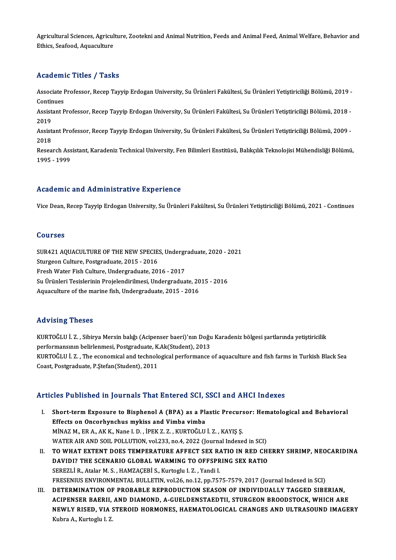Agricultural Sciences, Agriculture, Zootekni and Animal Nutrition, Feeds and Animal Feed, Animal Welfare, Behavior and<br>Ethigs Soofood, Aguagulture Agricultural Sciences, Agricul<br>Ethics, Seafood, Aquaculture

# Ethics, Seafood, Aquaculture<br>Academic Titles / Tasks

**Academic Titles / Tasks**<br>Associate Professor, Recep Tayyip Erdogan University, Su Ürünleri Fakültesi, Su Ürünleri Yetiştiriciliği Bölümü, 2019 -<br>Continues Associate I<br>Continues<br>Assistant B Associate Professor, Recep Tayyip Erdogan University, Su Ürünleri Fakültesi, Su Ürünleri Yetiştiriciliği Bölümü, 2019 -<br>Continues<br>Assistant Professor, Recep Tayyip Erdogan University, Su Ürünleri Fakültesi, Su Ürünleri Yet

Contin<br>Assist<br>2019 Assistant Professor, Recep Tayyip Erdogan University, Su Ürünleri Fakültesi, Su Ürünleri Yetiştiriciliği Bölümü, 2018 -<br>2019<br>Assistant Professor, Recep Tayyip Erdogan University, Su Ürünleri Fakültesi, Su Ürünleri Yetiştir

2019<br>Assist<br>2018<br>Pesee Assistant Professor, Recep Tayyip Erdogan University, Su Ürünleri Fakültesi, Su Ürünleri Yetiştiriciliği Bölümü, 2009 -<br>2018<br>Research Assistant, Karadeniz Technical University, Fen Bilimleri Enstitüsü, Balıkçılık Teknoloji

2018<br>Research Assistant, Karadeniz Technical University, Fen Bilimleri Enstitüsü, Balıkçılık Teknolojisi Mühendisliği Bölümü,<br>1995 - 1999

### Academic and Administrative Experience

Vice Dean, Recep Tayyip Erdogan University, Su Ürünleri Fakültesi, Su Ürünleri Yetiştiriciliği Bölümü, 2021 - Continues

#### Courses

Courses<br>SUR421 AQUACULTURE OF THE NEW SPECIES, Undergraduate, 2020 - 2021<br>Sturgeon Culture, Restangduate, 2015 - 2016 SUR421 AQUACULTURE OF THE NEW SPECIE:<br>Sturgeon Culture, Postgraduate, 2015 - 2016<br>Freek Weter Eisk Culture, Undergraduate, 201 SUR421 AQUACULTURE OF THE NEW SPECIES, Undergraduate, 2015 - 2016<br>Sturgeon Culture, Postgraduate, 2015 - 2016<br>Fresh Water Fish Culture, Undergraduate, 2016 - 2017<br>Su Ürünleri Tesislerinin Prejalandirilmesi, Undergradua Sturgeon Culture, Postgraduate, 2015 - 2016<br>Fresh Water Fish Culture, Undergraduate, 2016 - 2017<br>Su Ürünleri Tesislerinin Projelendirilmesi, Undergraduate, 2015 - 2016<br>Aguagulture of the marine fish Undergraduate, 2015 - 2 Fresh Water Fish Culture, Undergraduate, 2016 - 2017<br>Su Ürünleri Tesislerinin Projelendirilmesi, Undergraduate, 20<br>Aquaculture of the marine fish, Undergraduate, 2015 - 2016 Aquaculture of the marine fish, Undergraduate, 2015 - 2016<br>Advising Theses

Advising Theses<br>KURTOĞLU İ. Z. , Sibirya Mersin balığı (Acipenser baeri)'nın Doğu Karadeniz bölgesi şartlarında yetiştiricilik<br>Perfermansının belirlenmesi, Bestaradusta KAlı(Student), 2012 rra viering "riesses"<br>KURTOĞLU İ. Z. , Sibirya Mersin balığı (Acipenser baeri)'nın Doğu<br>performansının belirlenmesi, Postgraduate, K.Ak(Student), 2013<br>KURTOĞLU İ. Z. , The esenemisel and technelesisel performanse KURTOĞLU İ. Z. , Sibirya Mersin balığı (Acipenser baeri)'nın Doğu Karadeniz bölgesi şartlarında yetiştiricilik<br>performansının belirlenmesi, Postgraduate, K.Ak(Student), 2013<br>KURTOĞLU İ. Z. , The economical and technologica performansının belirlenmesi, Postgraduate, K.<br>KURTOĞLU İ. Z. , The economical and technolc<br>Coast, Postgraduate, P.Ştefan(Student), 2011

# Articles Published in Journals That Entered SCI, SSCI and AHCI Indexes

- I. Short-termExposure to Bisphenol A (BPA) as a Plastic Precursor: Hematological and Behavioral Effects on Oncorhynchus mykiss and Vimba vimba MİNAZM.,ERA.,AKK.,Nane I.D. , İPEKZ.Z. ,KURTOĞLUİ.Z. ,KAYIŞ Ş. Effects on Oncorhynchus mykiss and Vimba vimba<br>MİNAZ M., ER A., AK K., Nane I. D. , İPEK Z. Z. , KURTOĞLU İ. Z. , KAYIŞ Ş.<br>WATER AIR AND SOIL POLLUTION, vol.233, no.4, 2022 (Journal Indexed in SCI)<br>TO WHAT EXTENT DOES TEMP
- II. TO WHAT EXTENT DOES TEMPERATURE AFFECT SEX RATIO IN RED CHERRY SHRIMP, NEOCARIDINA WATER AIR AND SOIL POLLUTION, vol.233, no.4, 2022 (Journal Indexed in SCI)<br>TO WHAT EXTENT DOES TEMPERATURE AFFECT SEX RATIO IN RED CHI<br>DAVIDI? THE SCENARIO GLOBAL WARMING TO OFFSPRING SEX RATIO<br>SEREZLI R. Atelar M. S., HAM DAVIDI? THE SCENARIO GLOBAL WARMING TO OFFSPRING SEX RATIO SEREZLI R., Atalar M. S., HAMZACEBI S., Kurtoglu I.Z., Yandi I. FRESENIUS ENVIRONMENTAL BULLETIN, vol.26, no.12, pp.7575-7579, 2017 (Journal Indexed in SCI) SEREZLI R., Atalar M. S. , HAMZAÇEBI S., Kurtoglu I. Z. , Yandi I.<br>FRESENIUS ENVIRONMENTAL BULLETIN, vol.26, no.12, pp.7575-7579, 2017 (Journal Indexed in SCI)<br>III. DETERMINATION OF PROBABLE REPRODUCTION SEASON OF INDIVIDU
- FRESENIUS ENVIRONMENTAL BULLETIN, vol.26, no.12, pp.7575-7579, 2017 (Journal Indexed in SCI)<br>DETERMINATION OF PROBABLE REPRODUCTION SEASON OF INDIVIDUALLY TAGGED SIBERIAN,<br>ACIPENSER BAERII, AND DIAMOND, A-GUELDENSTAEDTII, DETERMINATION OF PROBABLE REPRODUCTION SEASON OF INDIVIDUALLY TAGGED SIBERIAN,<br>ACIPENSER BAERII, AND DIAMOND, A-GUELDENSTAEDTII, STURGEON BROODSTOCK, WHICH ARE<br>NEWLY RISED, VIA STEROID HORMONES, HAEMATOLOGICAL CHANGES AND ACIPENSER BAERII, AND DIAMOND, A-GUELDENSTAEDTII, STURGEON BROODSTOCK, WHICH ARE NEWLY RISED, VIA STEROID HORMONES, HAEMATOLOGICAL CHANGES AND ULTRASOUND IMAGERY<br>Kubra A., Kurtoglu I. Z.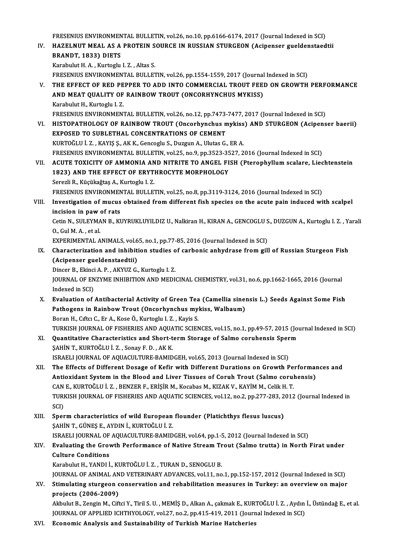FRESENIUS ENVIRONMENTAL BULLETIN, vol.26, no.10, pp.6166-6174, 2017 (Journal Indexed in SCI)<br>HAZELNUT MEAL AS A PROTEIN SOURCE IN RUSSIAN STURCEON (Asinoneor sueldenstaed

FRESENIUS ENVIRONMENTAL BULLETIN, vol.26, no.10, pp.6166-6174, 2017 (Journal Indexed in SCI)<br>IV. HAZELNUT MEAL AS A PROTEIN SOURCE IN RUSSIAN STURGEON (Acipenser gueldenstaedtii FRESENIUS ENVIRONMEN<br>HAZELNUT MEAL AS A<br>BRANDT, 1833) DIETS HAZELNUT MEAL AS A PROTEIN S<br>BRANDT, 1833) DIETS<br>Karabulut H. A. , Kurtoglu I. Z. , Altas S.<br>ERESENIUS ENVIDONMENTAL BIJLET

BRANDT, 1833) DIETS<br>Karabulut H. A. , Kurtoglu I. Z. , Altas S.<br>FRESENIUS ENVIRONMENTAL BULLETIN, vol.26, pp.1554-1559, 2017 (Journal Indexed in SCI) Karabulut H. A. , Kurtoglu I. Z. , Altas S.<br>FRESENIUS ENVIRONMENTAL BULLETIN, vol.26, pp.1554-1559, 2017 (Journal Indexed in SCI)<br>V. THE EFFECT OF RED PEPPER TO ADD INTO COMMERCIAL TROUT FEED ON GROWTH PERFORMANCE<br>AND MEAT

- FRESENIUS ENVIRONMENTAL BULLETIN, vol.26, pp.1554-1559, 2017 (Journal<br>THE EFFECT OF RED PEPPER TO ADD INTO COMMERCIAL TROUT FEE<br>AND MEAT QUALITY OF RAINBOW TROUT (ONCORHYNCHUS MYKISS)<br>Karabulut H. Kurtaglu I. 7 THE EFFECT OF RED PE<br>AND MEAT QUALITY OF<br>Karabulut H., Kurtoglu I. Z.<br>EPESENIUS ENVIRONMEN' AND MEAT QUALITY OF RAINBOW TROUT (ONCORHYNCHUS MYKISS)<br>Karabulut H., Kurtoglu I. Z.<br>FRESENIUS ENVIRONMENTAL BULLETIN, vol.26, no.12, pp.7473-7477, 2017 (Journal Indexed in SCI) Karabulut H., Kurtoglu I. Z.<br>FRESENIUS ENVIRONMENTAL BULLETIN, vol.26, no.12, pp.7473-7477, 2017 (Journal Indexed in SCI)<br>VI. HISTOPATHOLOGY OF RAINBOW TROUT (Oncorhynchus mykiss) AND STURGEON (Acipenser baerii)<br>EXPOSE
- FRESENIUS ENVIRONMENTAL BULLETIN, vol.26, no.12, pp.7473-<br>HISTOPATHOLOGY OF RAINBOW TROUT (Oncorhynchus n<br>EXPOSED TO SUBLETHAL CONCENTRATIONS OF CEMENT<br>VURTOČLU I 7 VAVIS S. AV V. Conceglu S. Duggun A. Hlutes G HISTOPATHOLOGY OF RAINBOW TROUT (Oncorhynchus mykiss<br>EXPOSED TO SUBLETHAL CONCENTRATIONS OF CEMENT<br>KURTOĞLU İ. Z., KAYIŞ Ş., AK K., Gencoglu S., Duzgun A., Ulutas G., ER A.<br>ERESENIUS ENVIRONMENTAL PIILLETIN YOL25 no.9 nn 2 EXPOSED TO SUBLETHAL CONCENTRATIONS OF CEMENT<br>KURTOĞLU İ. Z. , KAYIŞ Ş., AK K., Gencoglu S., Duzgun A., Ulutas G., ER A.<br>FRESENIUS ENVIRONMENTAL BULLETIN, vol.25, no.9, pp.3523-3527, 2016 (Journal Indexed in SCI)
- VII. ACUTE TOXICITY OF AMMONIA AND NITRITE TO ANGEL FISH (Pterophyllum scalare, Liechtenstein FRESENIUS ENVIRONMENTAL BULLETIN, vol.25, no.9, pp.3523-35<br>ACUTE TOXICITY OF AMMONIA AND NITRITE TO ANGEL FI<br>1823) AND THE EFFECT OF ERYTHROCYTE MORPHOLOGY<br>Sergeli B. Kügülağtas A. Kurtaglu L.7. ACUTE TOXICITY OF AMMONIA AN<br>1823) AND THE EFFECT OF ERYTI<br>Serezli R., Küçükağtaş A., Kurtoglu I. Z.<br>ERESENIUS ENVIRONMENTAL BIJ LET Serezli R., Küçükağtaş A., Kurtoglu I. Z.<br>FRESENIUS ENVIRONMENTAL BULLETIN, vol.25, no.8, pp.3119-3124, 2016 (Journal Indexed in SCI) Serezli R., Küçükağtaş A., Kurtoglu I. Z.<br>FRESENIUS ENVIRONMENTAL BULLETIN, vol.25, no.8, pp.3119-3124, 2016 (Journal Indexed in SCI)<br>VIII. Investigation of mucus obtained from different fish species on the acute pain indu

FRESENIUS ENVIRONMEN<br>Investigation of mucus<br>incision in paw of rats<br>Cetin N. SIU EVMAN B. KI

Investigation of mucus obtained from different fish species on the acute pain induced with scalpel<br>incision in paw of rats<br>Cetin N., SULEYMAN B., KUYRUKLUYILDIZ U., Nalkiran H., KIRAN A., GENCOGLU S., DUZGUN A., Kurtoglu I **incision in paw<br>Cetin N., SULEYMA<br>O., Gul M. A. , et al.<br>EXPERIMENTAL A** Cetin N., SULEYMAN B., KUYRUKLUYILDIZ U., Nalkiran H., KIRAN A., GENCOGLU S<br>O., Gul M. A. , et al.<br>EXPERIMENTAL ANIMALS, vol.65, no.1, pp.77-85, 2016 (Journal Indexed in SCI)<br>Characterization and inhibition studies of sarb

O., Gul M. A. , et al.<br>EXPERIMENTAL ANIMALS, vol.65, no.1, pp.77-85, 2016 (Journal Indexed in SCI)<br>IX. Characterization and inhibition studies of carbonic anhydrase from gill of Russian Sturgeon Fish<br>Corinanser sueldenstae EXPERIMENTAL ANIMALS, vol.6<br>Characterization and inhibiti<br>(Acipenser gueldenstaedtii)<br>Dincar B. Eltingi A. B., AKVUZ C. Characterization and inhibition studies o<br>(Acipenser gueldenstaedtii)<br>Dincer B., Ekinci A. P. , AKYUZ G., Kurtoglu I. Z.<br>JOUPMAL OF ENZYME INHIPITION AND MEDI

(Acipenser gueldenstaedtii)<br>Dincer B., Ekinci A. P. , AKYUZ G., Kurtoglu I. Z.<br>JOURNAL OF ENZYME INHIBITION AND MEDICINAL CHEMISTRY, vol.31, no.6, pp.1662-1665, 2016 (Journal<br>Indoved in SCD. Dincer B., Ekinci<br>JOURNAL OF EN<br>Indexed in SCI)<br>Evaluation of JOURNAL OF ENZYME INHIBITION AND MEDICINAL CHEMISTRY, vol.31, no.6, pp.1662-1665, 2016 (Journal<br>Indexed in SCI)<br>X. Evaluation of Antibacterial Activity of Green Tea (Camellia sinensis L.) Seeds Against Some Fish<br>Pathagang

- Indexed in SCI)<br>Evaluation of Antibacterial Activity of Green Tea (Camellia sine)<br>Pathogens in Rainbow Trout (Oncorhynchus mykiss, Walbaum)<br>Paran H. Gifta G. En A. Kasa Ö. Kurtaglu L.Z., Kavia S. Pathogens in Rainbow Trout (Oncorhynchus mykiss, Walbaum)<br>Boran H., Cıftcı C., Er A., Kose Ö., Kurtoglu I. Z., Kayis S. TURKISH JOURNAL OF FISHERIES AND AQUATIC SCIENCES, vol.15, no.1, pp.49-57, 2015 (Journal Indexed in SCI) Boran H., Ciftci C., Er A., Kose Ö., Kurtoglu I. Z., Kayis S.<br>TURKISH JOURNAL OF FISHERIES AND AQUATIC SCIENCES, vol.15, no.1, pp.49-57, 2015 (Journal Short-term Storage of Salmo coruhensis Sperm<br>SAHIN T. KURTOČLU I. Z. SO
- TURKISH JOURNAL OF FISHERIES AND AQUA<br>Quantitative Characteristics and Short-t<br>SAHİN T., KURTOĞLU İ. Z. , Sonay F. D. , AK K.<br>ISRAELLIQURNAL OF AQUACULTURE RAMIN Quantitative Characteristics and Short-term Storage of Salmo coruhensis Sper<br>SAHİN T., KURTOĞLU İ. Z. , Sonay F. D. , AK K.<br>ISRAELI JOURNAL OF AQUACULTURE-BAMIDGEH, vol.65, 2013 (Journal Indexed in SCI)<br>The Effects of Diff SAHİN T., KURTOĞLU İ. Z. , Sonay F. D. , AK K.<br>ISRAELI JOURNAL OF AQUACULTURE-BAMIDGEH, vol.65, 2013 (Journal Indexed in SCI)<br>XII. The Effects of Different Dosage of Kefir with Different Durations on Growth Performance
- ISRAELI JOURNAL OF AQUACULTURE-BAMIDGEH, vol.65, 2013 (Journal Indexed in SCI)<br>The Effects of Different Dosage of Kefir with Different Durations on Growth Performal<br>Antioxidant System in the Blood and Liver Tissues of Coru The Effects of Different Dosage of Kefir with Different Durations on Growth Pe<br>Antioxidant System in the Blood and Liver Tissues of Coruh Trout (Salmo corul<br>CAN E., KURTOĞLU İ. Z. , BENZER F., ERİŞİR M., Kocabas M., KIZAK Antioxidant System in the Blood and Liver Tissues of Coruh Trout (Salmo coruhensis)<br>CAN E., KURTOĞLU İ. Z. , BENZER F., ERİŞİR M., Kocabas M., KIZAK V., KAYİM M., Celik H. T.<br>TURKISH JOURNAL OF FISHERIES AND AQUATIC SCIENC CAN<br>TURI<br>SCI)<br>Spor TURKISH JOURNAL OF FISHERIES AND AQUATIC SCIENCES, vol.12, no.2, pp.277-283, 2<br>SCI)<br>XIII. Sperm characteristics of wild European flounder (Platichthys flesus luscus)<br>SAHIN T. CÜNES E. AVDIN L. KURTOČLU L.7
- SCI)<br>XIII. Sperm characteristics of wild European flounder (Platichthys flesus luscus)<br>ŞAHİN T., GÜNEŞ E., AYDIN İ., KURTOĞLU İ. Z. ISRAELI JOURNAL OF AQUACULTURE-BAMIDGEH, vol.64, pp.1-5, 2012 (Journal Indexed in SCI) \$AHİN T., GÜNEŞ E., AYDIN İ., KURTOĞLU İ. Z.<br>ISRAELI JOURNAL OF AQUACULTURE-BAMIDGEH, vol.64, pp.1-5, 2012 (Journal Indexed in SCI)<br>XIV. Evaluating the Growth Performance of Native Stream Trout (Salmo trutta) in North

# ISRAELI JOURNAL OF<br>Evaluating the Grov<br>Culture Conditions<br>Karabulut H. VANDI İ Evaluating the Growth Performance of Native Stream Tr<br>Culture Conditions<br>Karabulut H., YANDI İ., KURTOĞLU İ. Z. , TURAN D., SENOGLU B.<br>JOUPNAL OF ANIMAL AND VETERINARY ADVANCES vol 11. no

Culture Conditions<br>Karabulut H., YANDI İ., KURTOĞLU İ. Z. , TURAN D., SENOGLU B.<br>JOURNAL OF ANIMAL AND VETERINARY ADVANCES, vol.11, no.1, pp.152-157, 2012 (Journal Indexed in SCI)<br>Stimulating stungeon eongonyation and robo

Karabulut H., YANDI İ., KURTOĞLU İ. Z. , TURAN D., SENOGLU B.<br>JOURNAL OF ANIMAL AND VETERINARY ADVANCES, vol.11, no.1, pp.152-157, 2012 (Journal Indexed in SCI)<br>XV. Stimulating sturgeon conservation and rehabilitation **JOURNAL OF ANIMAL AN<br>Stimulating sturgeon c<br>projects (2006-2009)**<br>Althulut B. Zengin M. Gift Stimulating sturgeon conservation and rehabilitation measures in Turkey: an overview on major<br>projects (2006-2009)<br>Akbulut B., Zengin M., Ciftci Y., Tiril S. U. , MEMİŞ D., Alkan A., çakmak E., KURTOĞLU İ. Z. , Aydın İ., Ü

projects (2006-2009)<br>Akbulut B., Zengin M., Ciftci Y., Tiril S. U. , MEMİŞ D., Alkan A., çakmak E., KURTOĞLU İ. Z. , Aydın İ., Üstündağ E., et al.<br>JOURNAL OF APPLIED ICHTHYOLOGY, vol.27, no.2, pp.415-419, 2011 (Journal Ind

XVI. Economic Analysis and Sustainability of Turkish Marine Hatcheries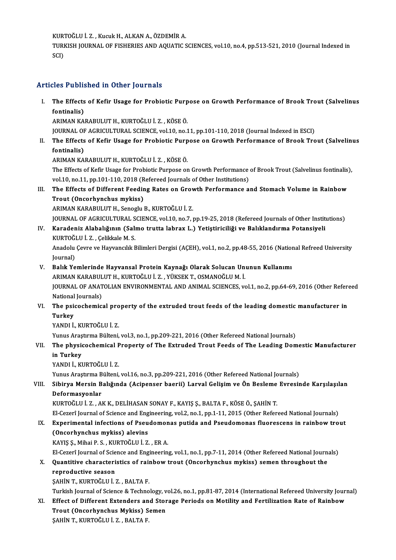KURTOĞLUİ.Z. ,KucukH.,ALKANA.,ÖZDEMİRA.

KURTOĞLU İ. Z. , Kucuk H., ALKAN A., ÖZDEMİR A.<br>TURKISH JOURNAL OF FISHERIES AND AQUATIC SCIENCES, vol.10, no.4, pp.513-521, 2010 (Journal Indexed in KUR'<br>TURI<br>SCI)

# Articles Published in Other Journals

rticles Published in Other Journals<br>I. The Effects of Kefir Usage for Probiotic Purpose on Growth Performance of Brook Trout (Salvelinus<br>fontinalia) The Effects<br>The Effects<br>fontinalis) The Effects of Kefir Usage for Probiotic Purp<br>fontinalis)<br>ARIMAN KARABULUT H., KURTOĞLU İ. Z. , KÖSE Ö.<br>JOUPMAL OF ACRICULTURAL SCIENCE vol 10 no 1

fontinalis)<br>ARIMAN KARABULUT H., KURTOĞLU İ. Z. , KÖSE Ö.<br>JOURNAL OF AGRICULTURAL SCIENCE, vol.10, no.11, pp.101-110, 2018 (Journal Indexed in ESCI)

ARIMAN KARABULUT H., KURTOĞLU İ. Z. , KÖSE Ö.<br>JOURNAL OF AGRICULTURAL SCIENCE, vol.10, no.11, pp.101-110, 2018 (Journal Indexed in ESCI)<br>II. The Effects of Kefir Usage for Probiotic Purpose on Growth Performance of Bro **JOURNAL OF**<br>The Effects<br>fontinalis)<br>ARIMAN KA The Effects of Kefir Usage for Probiotic Purp<br>fontinalis)<br>ARIMAN KARABULUT H., KURTOĞLU İ. Z. , KÖSE Ö.<br>The Effects of Kofir Hasge for Probiotic Purpese of

fontinalis)<br>ARIMAN KARABULUT H., KURTOĞLU İ. Z. , KÖSE Ö.<br>The Effects of Kefir Usage for Probiotic Purpose on Growth Performance of Brook Trout (Salvelinus fontinalis),<br>vel 10, no.11, np.101, 110, 2018 (Refereed Journals o ARIMAN KARABULUT H., KURTOĞLU İ. Z. , KÖSE Ö.<br>The Effects of Kefir Usage for Probiotic Purpose on Growth Performance<br>vol.10, no.11, pp.101-110, 2018 (Refereed Journals of Other Institutions)<br>The Effects of Different Feedin The Effects of Kefir Usage for Probiotic Purpose on Growth Performance of Brook Trout (Salvelinus fontinalis)<br>vol.10, no.11, pp.101-110, 2018 (Refereed Journals of Other Institutions)<br>III. The Effects of Different Feeding

# vol.10, no.11, pp.101-110, 2018 (Refereed Journals of Other Institutions)<br>The Effects of Different Feeding Rates on Growth Performance a<br>Trout (Oncorhynchus mykiss)<br>ARIMAN KARABULUT H., Senoglu B., KURTOĞLU İ. Z. The Effects of Different Feeding Rates on Grov<br>Trout (Oncorhynchus mykiss)<br>ARIMAN KARABULUT H., Senoglu B., KURTOĞLU İ. Z.<br>JOUPNAL OF ACRICULTURAL SCIENCE vel 10 no 7 .

JOURNAL OF AGRICULTURAL SCIENCE, vol.10, no.7, pp.19-25, 2018 (Refereed Journals of Other Institutions)

# ARIMAN KARABULUT H., Senoglu B., KURTOĞLU İ. Z.<br>JOURNAL OF AGRICULTURAL SCIENCE, vol.10, no.7, pp.19-25, 2018 (Refereed Journals of Other Instit<br>IV. Karadeniz Alabalığının (Salmo trutta labrax L.) Yetiştiriciliği ve Ba JOURNAL OF AGRICULTURAL S<br>Karadeniz Alabalığının (Salı<br>KURTOĞLU İ. Z. , Çelikkale M. S.<br>Anadalu Gaura ve Hauyangılu E Karadeniz Alabalığının (Salmo trutta labrax L.) Yetiştiriciliği ve Balıklandırma Potansiyeli<br>KURTOĞLU İ. Z. , Çelikkale M. S.<br>Anadolu Çevre ve Hayvancılık Bilimleri Dergisi (AÇEH), vol.1, no.2, pp.48-55, 2016 (National Ref

KURTOĞI<br>Anadolu<br>Journal)<br>Palık Yo

Journal)<br>V. Balık Yemlerinde Hayvansal Protein Kaynağı Olarak Solucan Ununun Kullanımı Journal)<br>Balık Yemlerinde Hayvansal Protein Kaynağı Olarak Solucan Unt<br>ARIMAN KARABULUT H., KURTOĞLU İ. Z. , YÜKSEK T., OSMANOĞLU M. İ.<br>JOUPNAL OE ANATOLIAN ENVIRONMENTAL AND ANIMAL SCIENCES *ve* Balık Yemlerinde Hayvansal Protein Kaynağı Olarak Solucan Ununun Kullanımı<br>ARIMAN KARABULUT H., KURTOĞLU İ. Z. , YÜKSEK T., OSMANOĞLU M. İ.<br>JOURNAL OF ANATOLIAN ENVIRONMENTAL AND ANIMAL SCIENCES, vol.1, no.2, pp.64-69, 201 ARIMAN KARABUL<br>JOURNAL OF ANAT<br>National Journals)<br>The paisochemis

## JOURNAL OF ANATOLIAN ENVIRONMENTAL AND ANIMAL SCIENCES, vol.1, no.2, pp.64-69, 2016 (Other Referds)<br>National Journals)<br>VI. The psicochemical property of the extruded trout feeds of the leading domestic manufacturer in<br>Turk National<br><mark>The psi</mark><br>Turkey<br>v<u>annui</u> The psicochemical pro<br>Turkey<br>YANDI İ., KURTOĞLU İ. Z.<br><sup>Yunus Arastuma Bültəni</sup> Turkey<br>YANDI İ., KURTOĞLU İ. Z.<br>Yunus Araştırma Bülteni, vol.3, no.1, pp.209-221, 2016 (Other Refereed National Journals)

# YANDI İ., KURTOĞLU İ. Z.<br>Yunus Araştırma Bülteni, vol.3, no.1, pp.209-221, 2016 (Other Refereed National Journals)<br>VII. The physicochemical Property of The Extruded Trout Feeds of The Leading Domestic Manufacturer<br>in T **Yunus Araş<br>The physic<br>in Turkey<br>YANDIİ KI** The physicochemical F<br>in Turkey<br>YANDI İ., KURTOĞLU İ. Z.<br><sup>Yunus Arastuma Bültəni</sup> i<mark>n Turkey</mark><br>YANDI İ., KURTOĞLU İ. Z.<br>Yunus Araştırma Bülteni, vol.16, no.3, pp.209-221, 2016 (Other Refereed National Journals)<br>Sibirya Marsin Balığında (Asinenser başrii) Laryal Gelisim ve Ön Beslame Euresir

# YANDI İ., KURTOĞLU İ. Z.<br>Yunus Araştırma Bülteni, vol.16, no.3, pp.209-221, 2016 (Other Refereed National Journals)<br>VIII. Sibirya Mersin Balığında (Acipenser baerii) Larval Gelişim ve Ön Besleme Evresinde Karşılaşılan<br> Yunus Araştırma B<br>Sibirya Mersin B<br>Deformasyonlar<br>KURTOČULİ ZA

KURTOĞLUİ.Z. ,AKK.,DELİHASANSONAYF.,KAYIŞ Ş.,BALTAF.,KÖSEÖ.,ŞAHİNT.

El-Cezerî Journal of Science and Engineering, vol.2, no.1, pp.1-11, 2015 (Other Refereed National Journals)

# KURTOĞLU İ. Z. , AK K., DELİHASAN SONAY F., KAYIŞ Ş., BALTA F., KÖSE Ö., ŞAHİN T.<br>El-Cezerî Journal of Science and Engineering, vol.2, no.1, pp.1-11, 2015 (Other Refereed National Journals)<br>IX. Experimental infections of P El-Cezerî Journal of Science and Eng<br>Experimental infections of Pseu<br>(Oncorhynchus mykiss) alevins<br>KAVIS S. Mibai B. S., KUPTOČUU I.7 Experimental infections of Pseudomon<br>(Oncorhynchus mykiss) alevins<br>KAYIŞ Ş., Mihai P. S., KURTOĞLU İ. Z., ER A.<br>El Cararî Jaurnal of Sciance and Engineerin (Oncorhynchus mykiss) alevins<br>KAYIŞ Ş., Mihai P. S. , KURTOĞLU İ. Z. , ER A.<br>El-Cezerî Journal of Science and Engineering, vol.1, no.1, pp.7-11, 2014 (Other Refereed National Journals)<br>Quantitive abarasteristica of rainbou

# KAYIŞ Ş., Mihai P. S. , KURTOĞLU İ. Z. , ER A.<br>El-Cezerî Journal of Science and Engineering, vol.1, no.1, pp.7-11, 2014 (Other Refereed National Journal<br>X. Quantitive characteristics of rainbow trout (Oncorhynchus mykiss) El-Cezerî Journal of Scie<br>Quantitive characteri<br>reproductive season<br>SAHIN T. KURTOČLU L Quantitive characteristics of rai<mark>i</mark><br>reproductive season<br>ŞAHİN T., KURTOĞLU İ. Z. , BALTA F.<br>Turkish Journal of Science & Teshne

reproductive season<br>ŞAHİN T., KURTOĞLU İ. Z. , BALTA F.<br>Turkish Journal of Science & Technology, vol.26, no.1, pp.81-87, 2014 (International Refereed University Journal)<br>Effect of Different Extenders and Starsge Periods en

# SAHIN T., KURTOĞLU İ. Z. , BALTA F.<br>Turkish Journal of Science & Technology, vol.26, no.1, pp.81-87, 2014 (International Refereed University Jour<br>XI. Effect of Different Extenders and Storage Periods on Motility and Fertil Turkish Journal of Science & Technology, v<br>Effect of Different Extenders and Stor<br>Trout (Oncorhynchus Mykiss) Semen<br>SAHIN T. KUPTOČLU I Z. PALTA F

ŞAHİNT.,KURTOĞLUİ.Z. ,BALTAF.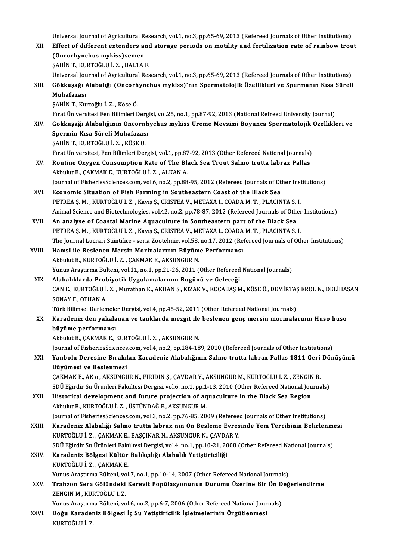Universal Journal of Agricultural Research, vol.1, no.3, pp.65-69, 2013 (Refereed Journals of Other Institutions)<br>Effect of different extenders and starses periods on metility and fertilization rate of rainbour trou

Universal Journal of Agricultural Research, vol.1, no.3, pp.65-69, 2013 (Refereed Journals of Other Institutions)<br>XII. Effect of different extenders and storage periods on motility and fertilization rate of rainbow tro Universal Journal of Agricultural Reflect of different extenders an<br>Concorhynchus mykiss)semen<br>SAHIN T. KUPTOČULI Z. PALTA Effect of different extenders and storage periods on motility and fertilization rate of rainbow trout (Oncorhynchus mykiss)semen<br>(Oncorhynchus mykiss)semen<br>SAHİN T., KURTOĞLU İ. Z. , BALTA F. (Oncorhynchus mykiss)semen<br>ŞAHİN T., KURTOĞLU İ. Z. , BALTA F.<br>Universal Journal of Agricultural Research, vol.1, no.3, pp.65-69, 2013 (Refereed Journals of Other Institutions)<br>Cökkusoğu Alabalığı (Oncorhynchus mykiss)'nın

ŞAHİN T., KURTOĞLU İ. Z. , BALTA F.<br>Universal Journal of Agricultural Research, vol.1, no.3, pp.65-69, 2013 (Refereed Journals of Other Institutions)<br>XIII. Gökkuşağı Alabalığı (Oncorhynchus mykiss)'nın Spermatolojik Öz Universal Jou<br>Gökkuşağı *İ*<br>Muhafazası<br>sayin T. Ku Gökkuşağı Alabalığı (Oncorh<br>Muhafazası<br>ŞAHİN T., Kurtoğlu İ. Z. , Köse Ö.<br>Evret Üniversitesi Een Bilimleri E Muhafazası<br>ŞAHİN T., Kurtoğlu İ. Z. , Köse Ö.<br>Fırat Üniversitesi Fen Bilimleri Dergisi, vol.25, no.1, pp.87-92, 2013 (National Refreed University Journal)<br>Cökkuseğu Alabalığının Onsarnbushus mykiss Ürama Maysimi Boyunsa Sp

ŞAHİN T., Kurtoğlu İ. Z. , Köse Ö.<br>Fırat Üniversitesi Fen Bilimleri Dergisi, vol.25, no.1, pp.87-92, 2013 (National Refreed University Journal)<br>XIV. Gökkuşağı Alabalığının Oncornhychus mykiss Üreme Mevsimi Boyunca Sper Fırat Üniversitesi Fen Bilimleri Derg<br>Gökkuşağı Alabalığının Oncornh<br>Spermin Kısa Süreli Muhafazası<br>SAHİN T. KURTOČLU İ. 7. KÖSE Ö Gökkuşağı Alabalığının Oncorn<br>Spermin Kısa Süreli Muhafazas<br>ŞAHİN T., KURTOĞLU İ. Z. , KÖSE Ö.<br>Evet Üniversitesi Een Bilimleri Der Spermin Kısa Süreli Muhafazası<br>ŞAHİN T., KURTOĞLU İ. Z. , KÖSE Ö.<br>Fırat Üniversitesi, Fen Bilimleri Dergisi, vol.1, pp.87-92, 2013 (Other Refereed National Journals)

- SAHİN T., KURTOĞLU İ. Z. , KÖSE Ö.<br>Fırat Üniversitesi, Fen Bilimleri Dergisi, vol.1, pp.87-92, 2013 (Other Refereed National Journals)<br>XV. Routine Oxygen Consumption Rate of The Black Sea Trout Salmo trutta labrax Pall Fırat Üniversitesi, Fen Bilimleri Dergisi, vol.1, pp.87<br>Routine Oxygen Consumption Rate of The Bl:<br>Akbulut B., ÇAKMAK E., KURTOĞLU İ. Z. , ALKAN A.<br>Journal of EisberiesSsienses sem vel 6. no.3. np.99 Routine Oxygen Consumption Rate of The Black Sea Trout Salmo trutta labrax Pallas<br>Akbulut B., ÇAKMAK E., KURTOĞLU İ. Z. , ALKAN A.<br>Journal of FisheriesSciences.com, vol.6, no.2, pp.88-95, 2012 (Refereed Journals of Other I Akbulut B., ÇAKMAK E., KURTOĞLU İ. Z. , ALKAN A.<br>Journal of FisheriesSciences.com, vol.6, no.2, pp.88-95, 2012 (Refereed Journals of Other Institutions)<br>XVI. Economic Situation of Fish Farming in Southeastern Coast of
- PETREA Ş. M. , KURTOĞLU İ. Z. , Kayış Ş., CRİSTEA V., METAXA I., COADA M. T. , PLACİNTA S. I. Economic Situation of Fish Farming in Southeastern Coast of the Black Sea<br>PETREA Ș. M. , KURTOĞLU İ. Z. , Kayış Ş., CRİSTEA V., METAXA I., COADA M. T. , PLACİNTA S. I.<br>Animal Science and Biotechnologies, vol.42, no.2, pp.7
- XVII. An analyse of Coastal Marine Aquaculture in Southeastern part of the Black Sea<br>PETREA S. M., KURTOĞLU İ. Z., Kayış S., CRİSTEA V., METAXA I., COADA M. T., PLACİNTA S. I. Animal Science and Biotechnologies, vol.42, no.2, pp.78-87, 2012 (Refereed Journals of Other<br>An analyse of Coastal Marine Aquaculture in Southeastern part of the Black Sea<br>PETREA Ş. M. , KURTOĞLU İ. Z. , Kayış Ş., CRİSTEA The Journal Lucrari Stiintifice - seria Zootehnie, vol.58, no.17, 2012 (Refereed Journals of Other Institutions)
- XVIII. Hamsi ile Beslenen Mersin Morinalarının Büyüme Performansı Akbulut B., KURTOĞLU İ. Z., ÇAKMAK E., AKSUNGUR N. Yunus Araştırma Bülteni, vol.11, no.1, pp.21-26, 2011 (Other Refereed National Journals) Akbulut B., KURTOĞLU İ. Z. , ÇAKMAK E., AKSUNGUR N.<br>Yunus Araştırma Bülteni, vol.11, no.1, pp.21-26, 2011 (Other Refereed<br>XIX. Alabalıklarda Probiyotik Uygulamalarının Bugünü ve Geleceği<br>CAN E. KUPTOĞLU İ. 7. Muratban K. A
	- CAN E., KURTOĞLU İ. Z. , Murathan K., AKHAN S., KIZAK V., KOCABAŞ M., KÖSE Ö., DEMİRTAŞ EROL N., DELİHASAN<br>SONAY F., OTHAN A. Alabalıklarda Prol<br>CAN E., KURTOĞLU İ<br>SONAY F., OTHAN A.<br>Türk Bilimsel Derlen CAN E., KURTOĞLU İ. Z. , Murathan K., AKHAN S., KIZAK V., KOCABAŞ M., KÖSE Ö., DEMİRTAŞ<br>SONAY F., OTHAN A.<br>Türk Bilimsel Derlemeler Dergisi, vol.4, pp.45-52, 2011 (Other Refereed National Journals)<br>Kanadaniz dan yakalanan

XX. Karadeniz den yakalanan ve tanklarda mezgit ile beslenen gençmersin morinalarının Huso huso büyüme performansı Türk Bilimsel Derlemele<br>Karadeniz den yakala<br>büyüme performansı<br>Althulut B. GAKMAK E. I büyüme performansı<br>Akbulut B., ÇAKMAK E., KURTOĞLU İ. Z. , AKSUNGUR N.<br>Journal of FisheriesSciences.com, vol.4, no.2, pp.184-189, 2010 (Refereed Journals of Other Institutions)<br>Yanhalu Darasine Burakılan Kanadaniz Alabalığ

Akbulut B., ÇAKMAK E., KURTOĞLU İ. Z., AKSUNGUR N.

Akbulut B., ÇAKMAK E., KURTOĞLU İ. Z. , AKSUNGUR N.<br>Journal of FisheriesSciences.com, vol.4, no.2, pp.184-189, 2010 (Refereed Journals of Other Institutions)<br>XXI. Yanbolu Deresine Bırakılan Karadeniz Alabalığının Salmo Journal of FisheriesSciences<br>Yanbolu Deresine Bırakıl<br>Büyümesi ve Beslenmesi<br>CAKMAK E. AK.a. AKSUNCI Yanbolu Deresine Bırakılan Karadeniz Alabalığının Salmo trutta labrax Pallas 1811 Geri<br>Büyümesi ve Beslenmesi<br>ÇAKMAK E., AK o., AKSUNGUR N., FİRİDİN Ş., ÇAVDAR Y., AKSUNGUR M., KURTOĞLU İ. Z. , ZENGİN B.<br>SDÜ Fğirdir Su Ürü

Büyümesi ve Beslenmesi<br>ÇAKMAK E., AK o., AKSUNGUR N., FİRİDİN Ş., ÇAVDAR Y., AKSUNGUR M., KURTOĞLU İ. Z. , ZENGİN B.<br>SDÜ Eğirdir Su Ürünleri Fakültesi Dergisi, vol.6, no.1, pp.1-13, 2010 (Other Refereed National Journals)<br> CAKMAK E., AK o., AKSUNGUR N., FİRİDİN Ş., CAVDAR Y., AKSUNGUR M., KURTOĞLU İ. Z. , ZENGİN<br>SDÜ Eğirdir Su Ürünleri Fakültesi Dergisi, vol.6, no.1, pp.1-13, 2010 (Other Refereed National Jou<br>XXII. Historical development and

SDÜ Eğirdir Su Ürünleri Fakültesi Dergisi, vol.6, no.1, pp.1<br>Historical development and future projection of aq<br>Akbulut B., KURTOĞLU İ. Z. , ÜSTÜNDAĞ E., AKSUNGUR M.<br>Journal of EisheriesSsienses som vol.2, no.2, nn.76, 95, Historical development and future projection of aquaculture in the Black Sea Region<br>Akbulut B., KURTOĞLU İ. Z. , ÜSTÜNDAĞ E., AKSUNGUR M.<br>Journal of FisheriesSciences.com, vol.3, no.2, pp.76-85, 2009 (Refereed Journals of

- Akbulut B., KURTOĞLU İ. Z. , ÜSTÜNDAĞ E., AKSUNGUR M.<br>Journal of FisheriesSciences.com, vol.3, no.2, pp.76-85, 2009 (Refereed Journals of Other Institutions)<br>XXIII. Karadeniz Alabalığı Salmo trutta labrax nın Ön Beslem Journal of FisheriesSciences.com, vol.3, no.2, pp.76-85, 2009 (Referee Karadeniz Alabalığı Salmo trutta labrax nın Ön Besleme Evres<br>KURTOĞLU İ. Z. , ÇAKMAK E., BAŞÇINAR N., AKSUNGUR N., ÇAVDAR Y.<br>SDÜ Fğirdir Su Ürünleri Fe Karadeniz Alabalığı Salmo trutta labrax nın Ön Besleme Evresinde Yem Tercihinin Belirlenme<br>KURTOĞLU İ. Z. , ÇAKMAK E., BAŞÇINAR N., AKSUNGUR N., ÇAVDAR Y.<br>SDÜ Eğirdir Su Ürünleri Fakültesi Dergisi, vol.4, no.1, pp.10-21, 2 SDÜ Eğirdir Su Ürünleri Fakültesi Dergisi, vol.4, no.1, pp.10-21, 2008 (Other Refereed National Journals)
- KURTOĞLU İ. Z. , ÇAKMAK E., BAŞÇINAR N., AKSUNGUR N., ÇAVDAR Y.<br>SDÜ Eğirdir Su Ürünleri Fakültesi Dergisi, vol.4, no.1, pp.10-21, 2008 (<br>XXIV. Karadeniz Bölgesi Kültür Balıkçılığı Alabalık Yetiştiriciliği<br>KURTOĞLU İ. Z. , Yunus Araştırma Bülteni, vol.7, no.1, pp.10-14, 2007 (Other Refereed National Journals) KURTOĞLU İ. Z. , ÇAKMAK E.<br>Yunus Araştırma Bülteni, vol.7, no.1, pp.10-14, 2007 (Other Refereed National Journals)<br>XXV. Trabzon Sera Gölündeki Kerevit Popülasyonunun Durumu Üzerine Bir Ön Değerlendirme<br>ZENCİN M. KURTOĞ
- Yunus Araştırma Bülteni, vo<br><mark>Trabzon Sera Gölündeki</mark><br>ZENGİN M., KURTOĞLU İ. Z.<br><sup>Yunus Arastuma Bülteni, vo</sup> Trabzon Sera Gölündeki Kerevit Popülasyonunun Durumu Üzerine Bir Ön D<br>ZENGİN M., KURTOĞLU İ. Z.<br>Yunus Araştırma Bülteni, vol.6, no.2, pp.6-7, 2006 (Other Refereed National Journals)<br>Doğu Karadoniz Bölgesi İs Su Vetistinisi

ZENGİN M., KURTOĞLU İ. Z.<br>Yunus Araştırma Bülteni, vol.6, no.2, pp.6-7, 2006 (Other Refereed National Jour<br>XXVI. Doğu Karadeniz Bölgesi İç Su Yetiştiricilik İşletmelerinin Örgütlenmesi Yunus Araştırm<br><mark>Doğu Karadeı</mark><br>KURTOĞLU İ. Z.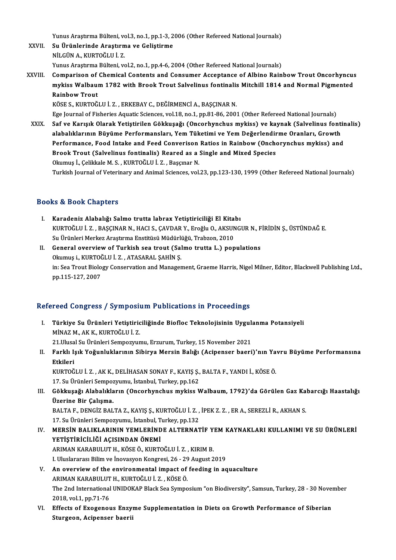Yunus Araştırma Bülteni, vol.3, no.1, pp.1-3, 2006 (Other Refereed National Journals)<br>Su Ününlerinde Arastırma ve Colistirme

- XXVII. Su Ürünlerinde Araştırma ve Geliştirme<br>NİLGÜN A., KURTOĞLU İ. Z. Yunus Araştırma Bülteni, vo<br><mark>Su Ürünlerinde Araştırm</mark><br>NİLGÜN A., KURTOĞLU İ. Z.<br><sup>Yunus</sup> Arastuma Bülteni, va Yunus Araştırma Bülteni, vol.2, no.1, pp.4-6, 2004 (Other Refereed National Journals) NİLGÜN A., KURTOĞLU İ. Z.<br>Yunus Araştırma Bülteni, vol.2, no.1, pp.4-6, 2004 (Other Refereed National Journals)<br>XXVIII. Comparison of Chemical Contents and Consumer Acceptance of Albino Rainbow Trout Oncorhyncus<br>mykiss
- Yunus Araştırma Bülteni, vol.2, no.1, pp.4-6, 2004 (Other Refereed National Journals)<br>Comparison of Chemical Contents and Consumer Acceptance of Albino Rainbow Trout Oncorhyncus<br>mykiss Walbaum 1782 with Brook Trout Salveli Comparison of<br>mykiss Walbau<br>Rainbow Trout<br>*vö*cr s *v*uproč mykiss Walbaum 1782 with Brook Trout Salvelinus fontinalis Mitchill 1814 and Normal Pigmented<br>Rainbow Trout<br>KÖSE S., KURTOĞLU İ. Z. , ERKEBAY C., DEĞİRMENCİ A., BAŞÇINAR N.

Ege Journal of Fisheries Aquatic Sciences, vol.18, no.1, pp.81-86, 2001 (Other Refereed National Journals)

XXIX. Saf ve Karışık Olarak Yetiştirilen Gökkuşağı (Oncorhynchusmykiss) ve kaynak (Salvelinus fontinalis) Ege Journal of Fisheries Aquatic Sciences, vol.18, no.1, pp.81-86, 2001 (Other Refereed National Journals)<br>Saf ve Karışık Olarak Yetiştirilen Gökkuşağı (Oncorhynchus mykiss) ve kaynak (Salvelinus fonti<br>alabalıklarının Büyü Saf ve Karışık Olarak Yetiştirilen Gökkuşağı (Oncorhynchus mykiss) ve kaynak (Salvelinus fontin alabalıklarının Büyüme Performansları, Yem Tüketimi ve Yem Değerlendirme Oranları, Growth<br>Performance, Food Intake and Feed Co alabalıklarının Büyüme Performansları, Yem Tüketimi ve Yem Değerlendir<br>Performance, Food Intake and Feed Converison Ratios in Rainbow (Onche<br>Brook Trout (Salvelinus fontinalis) Reared as a Single and Mixed Species<br>Olamus İ Performance, Food Intake and Feed Converison Ratios in Rainbow (Onchorynchus mykiss) and<br>Brook Trout (Salvelinus fontinalis) Reared as a Single and Mixed Species<br>Okumuş İ., Çelikkale M. S., KURTOĞLU İ. Z., Başçınar N. Turkish Journal of Veterinary and Animal Sciences, vol.23, pp.123-130, 1999 (Other Refereed National Journals)

### Books&Book Chapters

- ooks & Book Chapters<br>I. Karadeniz Alabalığı Salmo trutta labrax Yetiştiriciliği El Kitabı<br>KUPTOČLUİ Z. BASCINAR N. HACLS CAVDAR V. Eroğlu O. AKSINCİ KURTOĞLU İ. Z. , BAŞÇINAR N., HACI S., ÇAVDAR Y., Eroğlu O., AKSUNGUR N., FİRİDİN Ş., ÜSTÜNDAĞ E.<br>Su Ürünleri Merkez Araştırma Enstitüsü Müdürlüğü, Trabzon, 2010 Karadeniz Alabalığı Salmo trutta labrax Yetiştiriciliği El Kita<br>KURTOĞLU İ. Z. , BAŞÇINAR N., HACI S., ÇAVDAR Y., Eroğlu O., AKSUN<br>Su Ürünleri Merkez Araştırma Enstitüsü Müdürlüğü, Trabzon, 2010<br>Conoral overviow of Turkish KURTOĞLU İ. Z. , BAŞÇINAR N., HACI S., ÇAVDAR Y., Eroğlu O., AKSUNGUR N., F<br>Su Ürünleri Merkez Araştırma Enstitüsü Müdürlüğü, Trabzon, 2010<br>II. General overview of Turkish sea trout (Salmo trutta L.) populations<br>Olumus i.
- Su Ürünleri Merkez Araştırma Enstitüsü Müdürli<br>General overview of Turkish sea trout (Sal<br>Okumuş i., KURTOĞLU İ. Z. , ATASARAL ŞAHİN Ş.<br>in: Sea Trout Biology Conservation and Managar in: Sea Trout Biology Conservation and Management, Graeme Harris, Nigel Milner, Editor, Blackwell Publishing Ltd.,<br>pp.115-127, 2007 Okumuş i., KURTOĞLU İ. Z., ATASARAL ŞAHİN Ş.

## Refereed Congress / Symposium Publications in Proceedings

- efereed Congress / Symposium Publications in Proceedings<br>I. Türkiye Su Ürünleri Yetiştiriciliğinde Biofloc Teknolojisinin Uygulanma Potansiyeli<br>Minaz M.AKK KURTOĞULİ Z Türkiye Su Ürünleri Yetiştiric<br>Minaz M., AK K., KURTOĞLU İ. Z.<br>21 Husal Su Ürünleri Sennegray Türkiye Su Ürünleri Yetiştiriciliğinde Biofloc Teknolojisinin Uygul:<br>MİNAZ M., AK K., KURTOĞLU İ. Z.<br>21.Ulusal Su Ürünleri Sempozyumu, Erzurum, Turkey, 15 November 2021<br>Farklı Jaık Yağunluklarının Sibirya Margin Balığı (As
- MİNAZ M., AK K., KURTOĞLU İ. Z.<br>21.Ulusal Su Ürünleri Sempozyumu, Erzurum, Turkey, 15 November 2021<br>II. Farklı Işık Yoğunluklarının Sibirya Mersin Balığı (Acipenser baeri)'nın Yavru Büyüme Performansına<br>Ethilori 21.Ulusa<br>Farklı I:<br>Etkileri<br><sup>KUPTO</sub>č</sup> Farklı Işık Yoğunluklarının Sibirya Mersin Balığı (Acipenser baeri)'nın Ya<br>Etkileri<br>KURTOĞLU İ. Z. , AK K., DELİHASAN SONAY F., KAYIŞ Ş., BALTA F., YANDI İ., KÖSE Ö.<br>17 S., Ürünleri Somnozuumu İstanbul Turkey an 162

Etkileri<br>KURTOĞLU İ. Z. , AK K., DELİHASAN SONAY F., KAYIŞ Ş.,<br>17. Su Ürünleri Sempozyumu, İstanbul, Turkey, pp.162<br>Gökkuşeği, Alabalıkların, (Onserbunshus mukiss V

KURTOĞLU İ. Z. , AK K., DELİHASAN SONAY F., KAYIŞ Ş., BALTA F., YANDI İ., KÖSE Ö.<br>17. Su Ürünleri Sempozyumu, İstanbul, Turkey, pp.162<br>III. Gökkuşağı Alabalıkların (Oncorhynchus mykiss Walbaum, 1792)'da Görülen Gaz Kab 17. Su Ürünleri Sempoz<br>Gökkuşağı Alabalıkla<br>Üzerine Bir Çalışma.<br>BALTA E. DENCİZ BAL

BALTA F., DENGİZ BALTA Z., KAYIŞ Ş., KURTOĞLU İ. Z. , İPEK Z. Z. , ER A., SEREZLİ R., AKHAN S. Üzerine Bir Çalışma.<br>BALTA F., DENGİZ BALTA Z., KAYIŞ Ş., KURTOĞLU İ. Z. ,<br>17. Su Ürünleri Sempozyumu, İstanbul, Turkey, pp.132<br>MERSİN BALIKLARININ YEMI ERİNDE ALTERNAT BALTA F., DENGİZ BALTA Z., KAYIŞ Ş., KURTOĞLU İ. Z. , İPEK Z. Z. , ER A., SEREZLİ R., AKHAN S.<br>17. Su Ürünleri Sempozyumu, İstanbul, Turkey, pp.132<br>IV. MERSİN BALIKLARININ YEMLERİNDE ALTERNATİF YEM KAYNAKLARI KULLANIMI VE

- 17. Su Ürünleri Sempozyumu, İstanbul, T<br>MERSİN BALIKLARININ YEMLERİND<br>YETİŞTİRİCİLİĞİ AÇISINDAN ÖNEMİ<br>ARIMAN KARARILLIT HE KÖSE ÖLKUPTO MERSİN BALIKLARININ YEMLERİNDE ALTERNATİF Y<br>YETİŞTİRİCİLİĞİ AÇISINDAN ÖNEMİ<br>ARIMAN KARABULUT H., KÖSE Ö., KURTOĞLU İ. Z. , KIRIM B.<br>L Uluslanarası Bilim ve İnquesuon Kongresi 26, 29 Aygust 2 **YETİŞTİRİCİLİĞİ AÇISINDAN ÖNEMİ**<br>ARIMAN KARABULUT H., KÖSE Ö., KURTOĞLU İ. Z. , KIRIM B.<br>I. Uluslararası Bilim ve İnovasyon Kongresi, 26 - 29 August 2019 ARIMAN KARABULUT H., KÖSE Ö., KURTOĞLU İ. Z. , KIRIM B.<br>I. Uluslararası Bilim ve İnovasyon Kongresi, 26 - 29 August 2019<br>V. An overview of the environmental impact of feeding in aquaculture<br>ARIMAN KARABULUT H. KURTOĞLU İ.
- I. Uluslararası Bilim ve İnovasyon Kongresi, 26 29<br>An overview of the environmental impact of<br>ARIMAN KARABULUT H., KURTOĞLU İ. Z. , KÖSE Ö.<br>The 2nd International UNIDOKAR Black See Symne The 2nd International UNIDOKAP Black Sea Symposium "on Biodiversity", Samsun, Turkey, 28 - 30 November 2018, vol.1, pp.71-76 ARIMAN KARABULUT H., KURTOĞLU İ. Z., KÖSE Ö. The 2nd International UNIDOKAP Black Sea Symposium "on Biodiversity", Samsun, Turkey, 28 - 30 Nover<br>2018, vol.1, pp.71-76<br>VI. Effects of Exogenous Enzyme Supplementation in Diets on Growth Performance of Siberian<br>Sturgeon
- 2018, vol.1, pp.71-76<br>Effects of Exogenous Enzy<br>Sturgeon, Acipenser baeri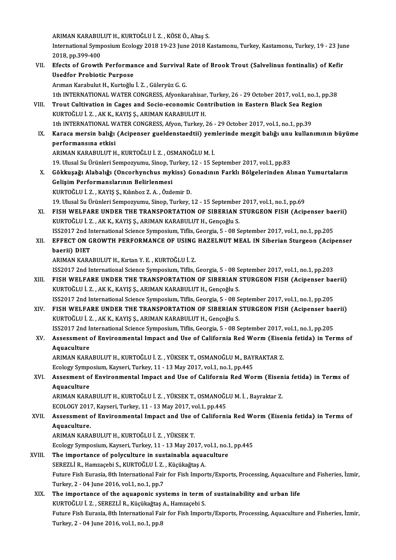ARIMANKARABULUTH.,KURTOĞLUİ.Z. ,KÖSEÖ.,Altaş S.

ARIMAN KARABULUT H., KURTOĞLU İ. Z. , KÖSE Ö., Altaş S.<br>International Symposium Ecology 2018 19-23 June 2018 Kastamonu, Turkey, Kastamonu, Turkey, 19 - 23 June<br>2018. pp.399.400. ARIMAN KARABUL<br>International Symp<br>2018, pp.399-400<br>Efects of Crouth

International Symposium Ecology 2018 19-23 June 2018 Kastamonu, Turkey, Kastamonu, Turkey, 19 - 23 Jur<br>2018, pp.399-400<br>VII. Efects of Growth Performance and Survival Rate of Brook Trout (Salvelinus fontinalis) of Kefir<br>We 2018, pp.399-400<br>Efects of Growth Performal<br>Usedfor Probiotic Purpose<br>Arman Karabulut H. Kurtoğlu Efects of Growth Performance and Survival<br>Usedfor Probiotic Purpose<br>Arıman Karabulut H., Kurtoğlu İ. Z. , Güleryüz G. G.<br>1th INTERNATIONAL WATER CONCRESS Afyanka Usedfor Probiotic Purpose<br>Arıman Karabulut H., Kurtoğlu İ. Z. , Güleryüz G. G.<br>1th INTERNATIONAL WATER CONGRESS, Afyonkarahisar, Turkey, 26 - 29 October 2017, vol.1, no.1, pp.38<br>Trout Cultivation in Cagos and Socio esenemi Arıman Karabulut H., Kurtoğlu İ. Z. , Güleryüz G. G.<br>1th INTERNATIONAL WATER CONGRESS, Afyonkarahisar, Turkey, 26 - 29 October 2017, vol.1, no.1, p<br>11. Trout Cultivation in Cages and Socio-economic Contribution in Eastern 1th INTERNATIONAL WATER CONGRESS, Afyonkarahisar<br>Trout Cultivation in Cages and Socio-economic Con<br>KURTOĞLU İ. Z. , AK K., KAYIŞ Ş., ARIMAN KARABULUT H.<br>1th INTERNATIONAL WATER CONGRESS, Afron Turkey Trout Cultivation in Cages and Socio-economic Contribution in Eastern Black Sea Regi<br>KURTOĞLU İ. Z. , AK K., KAYIŞ Ş., ARIMAN KARABULUT H.<br>1th INTERNATIONAL WATER CONGRESS, Afyon, Turkey, 26 - 29 October 2017, vol.1, no.1, KURTOĞLU İ. Z. , AK K., KAYIŞ Ş., ARIMAN KARABULUT H.<br>1th INTERNATIONAL WATER CONGRESS, Afyon, Turkey, 26 - 29 October 2017, vol.1, no.1, pp.39<br>IX. Karaca mersin balığı (Acipenser gueldenstaedtii) yemlerinde mezgit bal 1th INTERNATIONAL W<br>Karaca mersin balığı<br>performansına etkisi<br>APIMAN KARAPIJI JIT H Karaca mersin balığı (Acipenser gueldenstaedtii) yem<br>performansına etkisi<br>ARIMAN KARABULUT H., KURTOĞLU İ. Z. , OSMANOĞLU M. İ.<br>19 Ulucel Su Ürünleri Semnerrumu, Sinen Turkey, 12, 15, S performansına etkisi<br>ARIMAN KARABULUT H., KURTOĞLU İ. Z. , OSMANOĞLU M. İ.<br>19. Ulusal Su Ürünleri Sempozyumu, Sinop, Turkey, 12 - 15 September 2017, vol.1, pp.83<br>Göltkusağı Alabalığı (Ongorbungbus multise) Conadının Farklı ARIMAN KARABULUT H., KURTOĞLU İ. Z. , OSMANOĞLU M. İ.<br>19. Ulusal Su Ürünleri Sempozyumu, Sinop, Turkey, 12 - 15 September 2017, vol.1, pp.83<br>X. Gökkuşağı Alabalığı (Oncorhynchus mykiss) Gonadının Farklı Bölgelerinden A 19. Ulusal Su Ürünleri Sempozyumu, Sinop, T<br>Gökkuşağı Alabalığı (Oncorhynchus myk<br>Gelişim Performanslarının Belirlenmesi<br>KUPTOČLUİ Z., KAVIS S. Kupber Z.A., Örde Gökkuşağı Alabalığı (Oncorhynchus mykiss) G<br>Gelişim Performanslarının Belirlenmesi<br>KURTOĞLU İ. Z. , KAYIŞ Ş., Kılınboz Z. A. , Özdemir D.<br>19 Ulusal Su Ürünleri Samnamuunu Sinan Turkey 2 6elişim Performanslarının Belirlenmesi<br>19. KURTOĞLU İ. Z. , KAYIŞ Ş., Kılınboz Z. A. , Özdemir D.<br>19. Ulusal Su Ürünleri Sempozyumu, Sinop, Turkey, 12 - 15 September 2017, vol.1, no.1, pp.69 KURTOĞLU İ. Z. , KAYIŞ Ş., Kılınboz Z. A. , Özdemir D.<br>19. Ulusal Su Ürünleri Sempozyumu, Sinop, Turkey, 12 - 15 September 2017, vol.1, no.1, pp.69<br>21. FISH WELFARE UNDER THE TRANSPORTATION OF SIBERIAN STURGEON FISH (Acipe KURTOĞLU İ.Z., AKK., KAYIŞ Ş., ARIMAN KARABULUTH., Gençoğlu S. FISH WELFARE UNDER THE TRANSPORTATION OF SIBERIAN STURGEON FISH (Acipenser backdright)<br>KURTOĞLU İ. Z. , AK K., KAYIŞ Ş., ARIMAN KARABULUT H., Gençoğlu S.<br>ISS2017 2nd International Science Symposium, Tiflis, Georgia, 5 - 08 XII. EFFECT ON GROWTH PERFORMANCE OF USING HAZELNUT MEAL IN Siberian Sturgeon (Acipenser<br>baerii) DIET ISS2017 2nd International Science Symposium, Tiflis, Georgia, 5 - 08 September 2017, vol.1, no.1, pp.205 ARIMANKARABULUTH.,KırtanY.E. ,KURTOĞLUİ.Z. ISS2017 2nd International Science Symposium, Tiflis, Georgia, 5 - 08 September 2017, vol.1, no.1, pp.203 ARIMAN KARABULUT H., Kırtan Y. E. , KURTOĞLU İ. Z.<br>ISS2017 2nd International Science Symposium, Tiflis, Georgia, 5 - 08 September 2017, vol.1, no.1, pp.203<br>XIII. FISH WELFARE UNDER THE TRANSPORTATION OF SIBERIAN STURGE ISS2017 2nd International Science Symposium, Tiflis, Georgia, 5 - 08 S<br>FISH WELFARE UNDER THE TRANSPORTATION OF SIBERIAN :<br>KURTOĞLU İ. Z. , AK K., KAYIŞ Ş., ARIMAN KARABULUT H., Gençoğlu S.<br>ISS2017 2nd International Scienc FISH WELFARE UNDER THE TRANSPORTATION OF SIBERIAN STURGEON FISH (Acipenser backdright)<br>KURTOĞLU İ. Z. , AK K., KAYIŞ Ş., ARIMAN KARABULUT H., Gençoğlu S.<br>ISS2017 2nd International Science Symposium, Tiflis, Georgia, 5 - 08 KURTOĞLU İ. Z. , AK K., KAYIŞ Ş., ARIMAN KARABULUT H., Gençoğlu S.<br>ISS2017 2nd International Science Symposium, Tiflis, Georgia, 5 - 08 September 2017, vol.1, no.1, pp.205<br>XIV. FISH WELFARE UNDER THE TRANSPORTATION OF ISS2017 2nd International Science Symposium, Tiflis, Georgia, 5 - 08 S<br>FISH WELFARE UNDER THE TRANSPORTATION OF SIBERIAN :<br>KURTOĞLU İ. Z. , AK K., KAYIŞ Ş., ARIMAN KARABULUT H., Gençoğlu S.<br>ISS2017 2nd International Scienc FISH WELFARE UNDER THE TRANSPORTATION OF SIBERIAN STURGEON FISH (Acipenser backdong)<br>KURTOĞLU İ. Z. , AK K., KAYIŞ Ş., ARIMAN KARABULUT H., Gençoğlu S.<br>ISS2017 2nd International Science Symposium, Tiflis, Georgia, 5 - 08 S KURTOĞLU İ. Z. , AK K., KAYIŞ Ş., ARIMAN KARABULUT H., Gençoğlu S.<br>ISS2017 2nd International Science Symposium, Tiflis, Georgia, 5 - 08 September 2017, vol.1, no.1, pp.205<br>XV. Assessment of Environmental Impact and Use **ISS2017 2nd In<br>Assessment of**<br>Aquaculture Assessment of Environmental Impact and Use of California Red Worm (Eiser<br>Aquaculture<br>ARIMAN KARABULUT H., KURTOĞLU İ. Z. , YÜKSEK T., OSMANOĞLU M., BAYRAKTAR Z.<br>Feology Symposium *Kayseri Turkey 11 , 12 May 2017 yo*l 1 no Aquaculture<br>ARIMAN KARABULUT H., KURTOĞLU İ. Z. , YÜKSEK T., OSMANOĞLU M., BAYRAKTAR Z. XVI. Assesment of Environmental Impact and Use of California Red Worm (Eisenia fetida) in Terms of<br>Aquaculture Ecology Symposium, Kayseri, Turkey, 11 - 13 May 2017, vol.1, no.1, pp.445 Assesment of Environmental Impact and Use of California Red Worm (Eisen<br>Aquaculture<br>ARIMAN KARABULUT H., KURTOĞLU İ. Z. , YÜKSEK T., OSMANOĞLU M. İ. , Bayraktar Z.<br>ECOLOCY 2017, Kayseri Turkey, 11, 13 May 2017, vol 1 pp.44 Aquaculture<br>ARIMAN KARABULUT H., KURTOĞLU İ. Z. , YÜKSEK T., OSMANOĞL<br>ECOLOGY 2017, Kayseri, Turkey, 11 - 13 May 2017, vol.1, pp.445<br>Assessment of Environmental Impest and Use of Californi ARIMAN KARABULUT H., KURTOĞLU İ. Z. , YÜKSEK T., OSMANOĞLU M. İ. , Bayraktar Z.<br>ECOLOGY 2017, Kayseri, Turkey, 11 - 13 May 2017, vol.1, pp.445<br>XVII. Assessment of Environmental Impact and Use of California Red Worm (Ei ECOLOGY 2017, Kayseri, Turkey, 11 - 13 May 2017, vol.1, pp.445<br>Assessment of Environmental Impact and Use of Californ<br>Aquaculture.<br>ARIMAN KARABULUT H., KURTOĞLU İ. Z. , YÜKSEK T. Assessment of Environmental Impact and Use c<br>Aquaculture.<br>ARIMAN KARABULUT H., KURTOĞLU İ. Z. , YÜKSEK T.<br>Feology Symposium Kayseri Turkey, 11, 12 May 20. Aquaculture.<br>ARIMAN KARABULUT H., KURTOĞLU İ. Z. , YÜKSEK T.<br>Ecology Symposium, Kayseri, Turkey, 11 - 13 May 2017, vol.1, no.1, pp.445<br>The importange of polygulture in sustainable agusgulture. ARIMAN KARABULUT H., KURTOĞLU İ. Z. , YÜKSEK T.<br>Ecology Symposium, Kayseri, Turkey, 11 - 13 May 2017, vol.1, no.1<br>XVIII. The importance of polyculture in sustainabla aquaculture<br>SEPEZLLP, HAWEROĞLU İ. Z., Küğikağtas A Ecology Symposium, Kayseri, Turkey, 11 - 13 May 2017, v<br>The importance of polyculture in sustainabla aqua<br>SEREZLİ R., Hamzaçebi S., KURTOĞLU İ. Z. , Küçükağtaş A.<br>Future Fish Furesia 8th International Feir for Fish Impor The importance of polyculture in sustainabla aquaculture<br>SEREZLI R., Hamzaçebi S., KURTOĞLU İ. Z. , Küçükağtaş A.<br>Future Fish Eurasia, 8th International Fair for Fish Imports/Exports, Processing, Aquaculture and Fisheries, SEREZLİ R., Hamzaçebi S., KURTOĞLU İ. Z., Küçükağtaş A. Future Fish Eurasia, 8th International Fair for Fish Imports/Exports, Processing, Aquaculture<br>Turkey, 2 - 04 June 2016, vol.1, no.1, pp.7<br>XIX. The importance of the aquaponic systems in term of sustainability and urban lif Turkey, 2 - 04 June 2016, vol.1, no.1, pp.7<br>The importance of the aquaponic systems in term<br>KURTOĞLU İ. Z. , SEREZLİ R., Küçükağtaş A., Hamzaçebi S.<br>Euture Fich Euresia 8th International Feir for Fich Imper Future Fish Eurasia, 8th International Fair for Fish Imports/Exports, Processing, Aquaculture and Fisheries, İzmir,<br>Turkey, 2 - 04 June 2016, vol.1, no.1, pp.8 KURTOĞLU İ. Z., SEREZLİ R., Küçükağtaş A., Hamzaçebi S.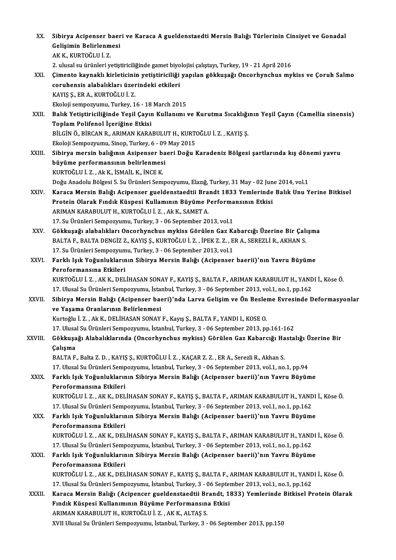| XX.     | Sibirya Acipenser baeri ve Karaca A gueldenstaedti Mersin Balığı Türlerinin Cinsiyet ve Gonadal                                                                                                           |
|---------|-----------------------------------------------------------------------------------------------------------------------------------------------------------------------------------------------------------|
|         | Gelişimin Belirlenmesi                                                                                                                                                                                    |
|         | AK K., KURTOĞLU İ. Z.                                                                                                                                                                                     |
|         | 2. ulusal su ürünleri yetiştiriciliğinde gamet biyolojisi çalıştayı, Turkey, 19 - 21 April 2016<br>Çimento kaynaklı kirleticinin yetiştiriciliği yapılan gökkuşağı Oncorhynchus mykiss ve Çoruh Salmo     |
| XXI.    | coruhensis alabalıkları üzerindeki etkileri                                                                                                                                                               |
|         | KAYIŞ Ş., ER A., KURTOĞLU İ. Z.                                                                                                                                                                           |
|         | Ekoloji sempozyumu, Turkey, 16 - 18 March 2015                                                                                                                                                            |
| XXII.   | Balık Yetiştiriciliğinde Yeşil Çayın Kullanımı ve Kurutma Sıcaklığının Yeşil Çayın (Camellia sinensis)                                                                                                    |
|         | Toplam Polifenol İçeriğine Etkisi                                                                                                                                                                         |
|         | BİLGİN Ö., BİRCAN R., ARIMAN KARABULUT H., KURTOĞLU İ. Z., KAYIŞ Ş.                                                                                                                                       |
|         | Ekoloji Sempozyumu, Sinop, Turkey, 6 - 09 May 2015                                                                                                                                                        |
| XXIII.  | Sibirya mersin balığının Asipenser baeri Doğu Karadeniz Bölgesi şartlarında kış dönemi yavru                                                                                                              |
|         | büyüme performansının belirlenmesi                                                                                                                                                                        |
|         | KURTOĞLU İ. Z., Ak K., İSMAİL K., İNCE K.                                                                                                                                                                 |
|         | Doğu Anadolu Bölgesi 5. Su Ürünleri Sempozyumu, Elazığ, Turkey, 31 May - 02 June 2014, vol.1                                                                                                              |
| XXIV.   | Karaca Mersin Balığı Acipenser gueldenstaedtii Brandt 1833 Yemlerinde Balık Unu Yerine Bitkisel                                                                                                           |
|         | Protein Olarak Fındık Küspesi Kullamının Büyüme Performansının Etkisi                                                                                                                                     |
|         | ARIMAN KARABULUT H., KURTOĞLU İ. Z., Ak K., SAMET A.                                                                                                                                                      |
|         | 17. Su Ürünleri Sempozyumu, Turkey, 3 - 06 September 2013, vol.1                                                                                                                                          |
| XXV.    | Gökkuşağı alabalıkları Oncorhynchus mykiss Görülen Gaz Kabarcığı Üzerine Bir Çalışma                                                                                                                      |
|         | BALTA F., BALTA DENGİZ Z., KAYIŞ Ş., KURTOĞLU İ. Z., İPEK Z. Z., ER A., SEREZLİ R., AKHAN S.                                                                                                              |
|         | 17. Su Ürünleri Sempozyumu, Turkey, 3 - 06 September 2013, vol.1                                                                                                                                          |
| XXVI.   | Farklı Işık Yoğunluklarının Sibirya Mersin Balığı (Acipenser baerii)'nın Yavru Büyüme                                                                                                                     |
|         | Peroformansına Etkileri<br>KURTOĞLU İ. Z., AK K., DELİHASAN SONAY F., KAYIŞ Ş., BALTA F., ARIMAN KARABULUT H., YANDI İ., Köse Ö.                                                                          |
|         | 17. Ulusal Su Ürünleri Sempozyumu, İstanbul, Turkey, 3 - 06 September 2013, vol.1, no.1, pp.162                                                                                                           |
| XXVII.  | Sibirya Mersin Balığı (Acipenser baeri)'nda Larva Gelişim ve Ön Besleme Evresinde Deformasyonlar                                                                                                          |
|         | ve Yaşama Oranlarının Belirlenmesi                                                                                                                                                                        |
|         | Kurtoğlu İ. Z., Ak K., DELİHASAN SONAY F., Kayış Ş., BALTA F., YANDI I., KOSE O.                                                                                                                          |
|         | 17. Ulusal Su Ürünleri Sempozyumu, İstanbul, Turkey, 3 - 06 September 2013, pp.161-162                                                                                                                    |
| XXVIII. | Gökkuşağı Alabalıklarında (Oncorhynchus mykiss) Görülen Gaz Kabarcığı Hastalığı Üzerine Bir                                                                                                               |
|         | Çalışma                                                                                                                                                                                                   |
|         | BALTA F., Balta Z. D., KAYIŞ Ş., KURTOĞLU İ. Z., KAÇAR Z. Z., ER A., Serezli R., Akhan S.                                                                                                                 |
|         | 17. Ulusal Su Ürünleri Sempozyumu, İstanbul, Turkey, 3 - 06 September 2013, vol.1, no.1, pp.94                                                                                                            |
| XXIX.   | Farklı Işık Yoğunluklarının Sibirya Mersin Balığı (Acipenser baerii)'nın Yavru Büyüme                                                                                                                     |
|         | Peroformansına Etkileri                                                                                                                                                                                   |
|         | KURTOĞLU İ. Z. , AK K., DELİHASAN SONAY F., KAYIŞ Ş., BALTA F., ARIMAN KARABULUT H., YANDI İ., Köse Ö.                                                                                                    |
|         | 17. Ulusal Su Ürünleri Sempozyumu, İstanbul, Turkey, 3 - 06 September 2013, vol.1, no.1, pp.162                                                                                                           |
| XXX.    | Farklı Işık Yoğunluklarının Sibirya Mersin Balığı (Acipenser baerii)'nın Yavru Büyüme                                                                                                                     |
|         | Peroformansına Etkileri                                                                                                                                                                                   |
|         | KURTOĞLU İ. Z. , AK K., DELİHASAN SONAY F., KAYIŞ Ş., BALTA F., ARIMAN KARABULUT H., YANDI İ., Köse Ö.                                                                                                    |
|         | 17. Ulusal Su Ürünleri Sempozyumu, İstanbul, Turkey, 3 - 06 September 2013, vol.1, no.1, pp.162                                                                                                           |
| XXXI.   | Farklı Işık Yoğunluklarının Sibirya Mersin Balığı (Acipenser baerii)'nın Yavru Büyüme                                                                                                                     |
|         | Peroformansına Etkileri                                                                                                                                                                                   |
|         | KURTOĞLU İ. Z. , AK K., DELİHASAN SONAY F., KAYIŞ Ş., BALTA F., ARIMAN KARABULUT H., YANDI İ., Köse Ö.<br>17. Ulusal Su Ürünleri Sempozyumu, İstanbul, Turkey, 3 - 06 September 2013, vol.1, no.1, pp.162 |
|         | Karaca Mersin Balığı (Acipencer gueldenstaedtii Brandt, 1833) Yemlerinde Bitkisel Protein Olarak                                                                                                          |
| XXXII.  | Fındık Küspesi Kullanımının Büyüme Performansına Etkisi                                                                                                                                                   |
|         | ARIMAN KARABULUT H., KURTOĞLU İ. Z., AK K., ALTAŞ S.                                                                                                                                                      |
|         | XVII Ulusal Su Ürünleri Sempozyumu, İstanbul, Turkey, 3 - 06 September 2013, pp.150                                                                                                                       |
|         |                                                                                                                                                                                                           |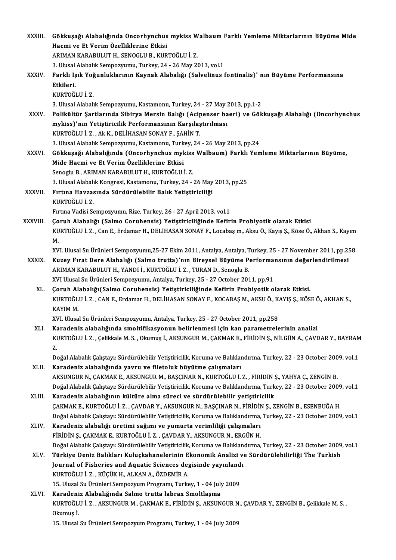| <b>XXXIII</b> | Gökkuşağı Alabalığında Oncorhynchus mykiss Walbaum Farklı Yemleme Miktarlarının Büyüme Mide<br>Hacmi ve Et Verim Özelliklerine Etkisi |
|---------------|---------------------------------------------------------------------------------------------------------------------------------------|
|               | ARIMAN KARABULUT H., SENOGLU B., KURTOĞLU İ. Z.                                                                                       |
|               | 3. Ulusal Alabalık Sempozyumu, Turkey, 24 - 26 May 2013, vol.1                                                                        |
| XXXIV.        | Farklı Işık Yoğunluklarının Kaynak Alabalığı (Salvelinus fontinalis)'nın Büyüme Performansına                                         |
|               | Etkileri.                                                                                                                             |
|               | KURTOĞLU İ.Z.                                                                                                                         |
|               | 3. Ulusal Alabalık Sempozyumu, Kastamonu, Turkey, 24 - 27 May 2013, pp.1-2                                                            |
| <b>XXXV</b>   | Polikültür Şartlarında Sibirya Mersin Balığı (Acipenser baeri) ve Gökkuşağı Alabalığı (Oncorhynchus                                   |
|               | mykiss)'nın Yetiştiricilik Performansının Karşılaştırılması                                                                           |
|               | KURTOĞLU İ.Z., Ak K., DELİHASAN SONAY F., ŞAHİN T.                                                                                    |
|               | 3. Ulusal Alabalık Sempozyumu, Kastamonu, Turkey, 24 - 26 May 2013, pp.24                                                             |
| <b>XXXVI</b>  | Gökkuşağı Alabalığında (Oncorhynchus mykiss Walbaum) Farklı Yemleme Miktarlarının Büyüme,                                             |
|               | Mide Hacmi ve Et Verim Özelliklerine Etkisi                                                                                           |
|               | Senoglu B., ARIMAN KARABULUT H., KURTOĞLU İ.Z.                                                                                        |
|               | 3. Ulusal Alabalık Kongresi, Kastamonu, Turkey, 24 - 26 May 2013, pp.25                                                               |
| XXXVII.       | Fırtına Havzasında Sürdürülebilir Balık Yetiştiriciliği                                                                               |
|               | KURTOĞLU İ.Z.                                                                                                                         |
|               | Fırtına Vadisi Sempozyumu, Rize, Turkey, 26 - 27 April 2013, vol.1                                                                    |
| XXXVIII.      | Çoruh Alabalığı (Salmo Coruhensis) Yetiştiriciliğinde Kefirin Probiyotik olarak Etkisi                                                |
|               | KURTOĞLU İ. Z. , Can E., Erdamar H., DELİHASAN SONAY F., Locabaş m., Aksu Ö., Kayış Ş., Köse Ö., Akhan S., Kayım                      |
|               | М.                                                                                                                                    |
|               | XVI. Ulusal Su Ürünleri Sempozyumu, 25-27 Ekim 2011, Antalya, Antalya, Turkey, 25 - 27 November 2011, pp.258                          |
| <b>XXXIX</b>  | Kuzey Fırat Dere Alabalığı (Salmo trutta)'nın Bireysel Büyüme Performansının değerlendirilmesi                                        |
|               | ARIMAN KARABULUT H., YANDI İ., KURTOĞLU İ. Z., TURAN D., Senoglu B.                                                                   |
|               | XVI Ulusal Su Ürünleri Sempozyumu, Antalya, Turkey, 25 - 27 October 2011, pp 91                                                       |
| XL.           | Çoruh Alabalığı(Salmo Coruhensis) Yetiştiriciliğinde Kefirin Probiyotik olarak Etkisi.                                                |
|               | KURTOĞLU İ. Z., CAN E., Erdamar H., DELİHASAN SONAY F., KOCABAŞ M., AKSU Ö., KAYIŞ Ş., KÖSE Ö., AKHAN S.,                             |
|               | KAYIM M.                                                                                                                              |
|               | XVI. Ulusal Su Ürünleri Sempozyumu, Antalya, Turkey, 25 - 27 October 2011, pp.258                                                     |
| XLI.          | Karadeniz alabalığında smoltifikasyonun belirlenmesi için kan parametrelerinin analizi                                                |
|               | KURTOĞLU İ. Z., Çelikkale M. S., Okumuş İ., AKSUNGUR M., ÇAKMAK E., FİRİDİN Ş., NİLGÜN A., ÇAVDAR Y., BAYRAM                          |
|               | Z.                                                                                                                                    |
|               | Doğal Alabalık Çalıştayı: Sürdürülebilir Yetiştiricilik, Koruma ve Balıklandırma, Turkey, 22 - 23 October 2009, vol.1                 |
| XLII.         | Karadeniz alabalığında yavru ve filetoluk büyütme çalışmaları                                                                         |
|               | AKSUNGUR N., ÇAKMAK E., AKSUNGUR M., BAŞÇINAR N., KURTOĞLU İ. Z. , FİRİDİN Ş., YAHYA Ç., ZENGİN B.                                    |
|               | Doğal Alabalık Çalıştayı: Sürdürülebilir Yetiştiricilik, Koruma ve Balıklandırma, Turkey, 22 - 23 October 2009, vol.1                 |
| XLIII.        | Karadeniz alabalığının kültüre alma süreci ve sürdürülebilir yetiştiricilik                                                           |
|               | ÇAKMAK E., KURTOĞLU İ. Z. , ÇAVDAR Y., AKSUNGUR N., BAŞÇINAR N., FİRİDİN Ş., ZENGİN B., ESENBUĞA H.                                   |
|               | Doğal Alabalık Çalıştayı: Sürdürülebilir Yetiştiricilik, Koruma ve Balıklandırma, Turkey, 22 - 23 October 2009, vol.1                 |
| XLIV.         | Karadeniz alabalığı üretimi sağımı ve yumurta verimliliği çalışmaları                                                                 |
|               | FİRİDİN Ş., ÇAKMAK E., KURTOĞLU İ. Z., ÇAVDAR Y., AKSUNGUR N., ERGÜN H.                                                               |
|               | Doğal Alabalık Çalıştayı: Sürdürülebilir Yetiştiricilik, Koruma ve Balıklandırma, Turkey, 22 - 23 October 2009, vol.1                 |
| XLV.          | Türkiye Deniz Balıkları Kuluçkahanelerinin Ekonomik Analizi ve Sürdürülebilirliği The Turkish                                         |
|               | Journal of Fisheries and Aquatic Sciences degisinde yayınlandı                                                                        |
|               | KURTOĞLU İ. Z., KÜÇÜK H., ALKAN A., ÖZDEMİR A.                                                                                        |
|               | 15. Ulusal Su Ürünleri Sempozyum Programı, Turkey, 1 - 04 July 2009                                                                   |
| XLVI.         | Karadeniz Alabalığında Salmo trutta labrax Smoltlaşma                                                                                 |
|               | KURTOĞLU İ. Z., AKSUNGUR M., ÇAKMAK E., FİRİDİN Ş., AKSUNGUR N., ÇAVDAR Y., ZENGİN B., Çelikkale M. S.,                               |
|               | Okumuş İ.                                                                                                                             |
|               | 15. Ulusal Su Ürünleri Sempozyum Programı, Turkey, 1 - 04 July 2009                                                                   |
|               |                                                                                                                                       |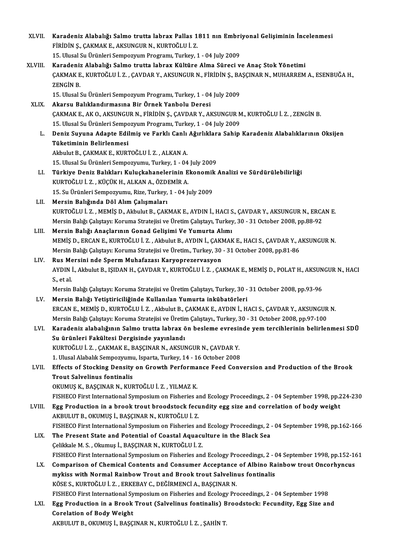| XLVII.  | Karadeniz Alabalığı Salmo trutta labrax Pallas 1811 nın Embriyonal Gelişiminin İncelenmesi                    |
|---------|---------------------------------------------------------------------------------------------------------------|
|         | FİRİDİN Ş., ÇAKMAK E., AKSUNGUR N., KURTOĞLU İ. Z.                                                            |
|         | 15. Ulusal Su Ürünleri Sempozyum Programı, Turkey, 1 - 04 July 2009                                           |
| XLVIII. | Karadeniz Alabalığı Salmo trutta labrax Kültüre Alma Süreci ve Anaç Stok Yönetimi                             |
|         | ÇAKMAK E., KURTOĞLU İ. Z. , ÇAVDAR Y., AKSUNGUR N., FİRİDİN Ş., BAŞÇINAR N., MUHARREM A., ESENBUĞA H.,        |
|         | ZENGIN B.                                                                                                     |
|         | 15. Ulusal Su Ürünleri Sempozyum Programı, Turkey, 1 - 04 July 2009                                           |
| XLIX.   | Akarsu Balıklandırmasına Bir Örnek Yanbolu Deresi                                                             |
|         | ÇAKMAK E., AK O., AKSUNGUR N., FİRİDİN Ş., ÇAVDAR Y., AKSUNGUR M., KURTOĞLU İ. Z. , ZENGİN B.                 |
|         | 15. Ulusal Su Ürünleri Sempozyum Programı, Turkey, 1 - 04 July 2009                                           |
| L.      | Deniz Suyuna Adapte Edilmiş ve Farklı Canlı Ağırlıklara Sahip Karadeniz Alabalıklarının Oksijen               |
|         | Tüketiminin Belirlenmesi                                                                                      |
|         | Akbulut B., ÇAKMAK E., KURTOĞLU İ.Z., ALKAN A.                                                                |
|         | 15. Ulusal Su Ürünleri Sempozyumu, Turkey, 1 - 04 July 2009                                                   |
| LI.     | Türkiye Deniz Balıkları Kuluçkahanelerinin Ekonomik Analizi ve Sürdürülebilirliği                             |
|         | KURTOĞLU İ.Z., KÜÇÜK H., ALKAN A., ÖZDEMİR A.                                                                 |
|         | 15. Su Ürünleri Sempozyumu, Rize, Turkey, 1 - 04 July 2009                                                    |
| LII.    | Mersin Balığında Döl Alım Çalışmaları                                                                         |
|         | KURTOĞLU İ. Z., MEMİŞ D., Akbulut B., ÇAKMAK E., AYDIN İ., HACI S., ÇAVDAR Y., AKSUNGUR N., ERCAN E.          |
|         | Mersin Balığı Çalıştayı: Koruma Stratejisi ve Üretim Çalıştayı, Turkey, 30 - 31 October 2008, pp.88-92        |
| LIII.   | Mersin Balığı Anaçlarının Gonad Gelişimi Ve Yumurta Alımı                                                     |
|         | MEMİŞ D., ERCAN E., KURTOĞLU İ. Z., Akbulut B., AYDIN İ., ÇAKMAK E., HACI S., ÇAVDAR Y., AKSUNGUR N.          |
|         | Mersin Balığı Çalıştayı: Koruma Stratejisi ve Üretim., Turkey, 30 - 31 October 2008, pp.81-86                 |
| LIV.    | Rus Mersini nde Sperm Muhafazası Karyoprezervasyon                                                            |
|         | AYDIN İ., Akbulut B., IŞIDAN H., ÇAVDAR Y., KURTOĞLU İ. Z. , ÇAKMAK E., MEMİŞ D., POLAT H., AKSUNGUR N., HACI |
|         | S, et al.                                                                                                     |
|         | Mersin Balığı Çalıştayı: Koruma Stratejisi ve Üretim Çalıştayı, Turkey, 30 - 31 October 2008, pp.93-96        |
| LV.     | Mersin Balığı Yetiştiriciliğinde Kullanılan Yumurta inkübatörleri                                             |
|         | ERCAN E., MEMIS D., KURTOĞLU İ. Z., Akbulut B., ÇAKMAK E., AYDIN İ., HACI S., ÇAVDAR Y., AKSUNGUR N.          |
|         | Mersin Balığı Çalıştayı: Koruma Stratejisi ve Üretim Çalıştayı., Turkey, 30 - 31 October 2008, pp.97-100      |
| LVI.    | Karadeniz alabalığının Salmo trutta labrax ön besleme evresinde yem tercihlerinin belirlenmesi SDÜ            |
|         | Su ürünleri Fakültesi Dergisinde yayınlandı                                                                   |
|         | KURTOĞLU İ. Z., ÇAKMAK E., BAŞÇINAR N., AKSUNGUR N., ÇAVDAR Y.                                                |
|         | 1. Ulusal Alabalık Sempozyumu, Isparta, Turkey, 14 - 16 October 2008                                          |
| LVII.   | Effects of Stocking Density on Growth Performance Feed Conversion and Production of the Brook                 |
|         | <b>Trout Salvelinus fontinalis</b>                                                                            |
|         | OKUMUŞ K., BAŞÇINAR N., KURTOĞLU İ. Z. , YILMAZ K.                                                            |
|         | FISHECO First International Symposium on Fisheries and Ecology Proceedings, 2 - 04 September 1998, pp.224-230 |
| LVIII.  | Egg Production in a brook trout broodstock fecundity egg size and correlation of body weight                  |
|         | AKBULUT B., OKUMUŞ İ., BAŞÇINAR N., KURTOĞLU İ. Z.                                                            |
|         | FISHECO First International Symposium on Fisheries and Ecology Proceedings, 2 - 04 September 1998, pp.162-166 |
| LIX.    | The Present State and Potential of Coastal Aquaculture in the Black Sea                                       |
|         | Çelikkale M. S., Okumuş İ., BAŞÇINAR N., KURTOĞLU İ. Z.                                                       |
|         | FISHECO First International Symposium on Fisheries and Ecology Proceedings, 2 - 04 September 1998, pp.152-161 |
| LX.     | Comparison of Chemical Contents and Consumer Acceptance of Albino Rainbow trout Oncorhyncus                   |
|         | mykiss with Normal Rainbow Trout and Brook trout Salvelinus fontinalis                                        |
|         | KÖSE S., KURTOĞLU İ. Z., ERKEBAY C., DEĞİRMENCİ A., BAŞÇINAR N.                                               |
|         | FISHECO First International Symposium on Fisheries and Ecology Proceedings, 2 - 04 September 1998             |
| LXI.    | Egg Production in a Brook Trout (Salvelinus fontinalis) Broodstock: Fecundity, Egg Size and                   |
|         | <b>Corelation of Body Weight</b>                                                                              |
|         | AKBULUT B., OKUMUŞ İ., BAŞÇINAR N., KURTOĞLU İ. Z. , ŞAHİN T.                                                 |
|         |                                                                                                               |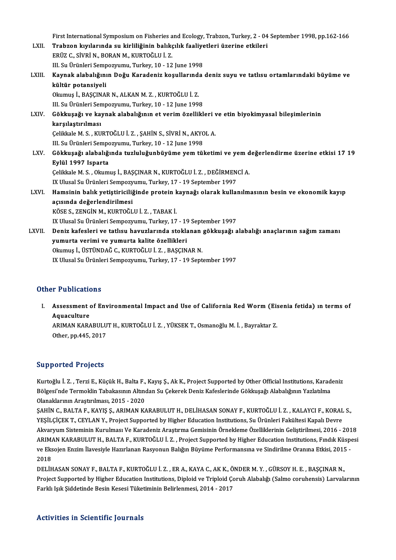First International Symposium on Fisheries and Ecology, Trabzon, Turkey, 2 - 04 September 1998, pp.162-166<br>Trabron kuylarında av kirliliğinin balıkalık faaliyatlari üzerine etkileri

- First International Symposium on Fisheries and Ecology, Trabzon, Turkey, 2 04<br>LXII. Trabzon kıyılarında su kirliliğinin balıkçılık faaliyetleri üzerine etkileri<br>ERÜZ G SİVRİ N. BORAN M. KURTOĞLU İ.Z First International Symposium on Fisheries a<br>Trabzon kıyılarında su kirliliğinin balıkç<br>ERÜZ C., SİVRİ N., BORAN M., KURTOĞLU İ. Z.<br>III. S., Ününleri Semnestanımı, Turkey, 10, 12 Trabzon kıyılarında su kirliliğinin balıkçılık faaliyetleri üzerine etkileri<br>ERÜZ C., SİVRİ N., BORAN M., KURTOĞLU İ. Z. LXIII. Kaynak alabalığının Doğu Karadeniz koşullarında deniz suyu ve tatlısu ortamlarındaki büyüme ve kültür potansiyeli III. Su Ürünleri Sempozyumu, Turkey, 10 - 12 June 1998 Kaynak alabalığının Doğu Karadeniz koşullarınd:<br>kültür potansiyeli<br>Okumuş İ., BAŞÇINAR N., ALKAN M. Z. , KURTOĞLU İ. Z.<br>III.S., Ürünleri Semnezuumu, Turkey, 10, 12 lune 1995 kültür potansiyeli<br>Okumuş İ., BAŞÇINAR N., ALKAN M. Z. , KURTOĞLU İ. Z.<br>III. Su Ürünleri Sempozyumu, Turkey, 10 - 12 June 1998<br>Gökkuseği ve kavnak alabalığının et yerim özellikl Okumuş İ., BAŞÇINAR N., ALKAN M. Z. , KURTOĞLU İ. Z.<br>III. Su Ürünleri Sempozyumu, Turkey, 10 - 12 June 1998<br>LXIV. Gökkuşağı ve kaynak alabalığının et verim özellikleri ve etin biyokimyasal bileşimlerinin<br>karşılaştırılm III. Su Ürünleri Sen<br>Gökkuşağı ve ka<sub>l</sub><br>karşılaştırılması<br>Celikkala M. S., KU Gökkuşağı ve kaynak alabalığının et verim özellikleri v<br>karşılaştırılması<br>Çelikkale M. S. , KURTOĞLU İ. Z. , ŞAHİN S., SİVRİ N., AKYOL A.<br>III. Su Ürünleri Semnegyumu, Turkey, 10, 12 June 1999 karşılaştırılması<br>Çelikkale M. S. , KURTOĞLU İ. Z. , ŞAHİN S., SİVRİ N., AKYOL A.<br>III. Su Ürünleri Sempozyumu, Turkey, 10 - 12 June 1998 LXV. Gökkuşağı alabalığında tuzluluğunbüyüme yemtüketimi ve yemdeğerlendirme üzerine etkisi 17 19 Eylül 1997 Isparta Gökkuşağı alabalığında tuzluluğunbüyüme yem tüketimi ve yem d<br>Eylül 1997 Isparta<br>Çelikkale M. S. , Okumuş İ., BAŞÇINAR N., KURTOĞLU İ. Z. , DEĞİRMENCİ A.<br>IY Illusel Su Ürünleri Semnezzumu, Turkey 17 , 19 Sentember 1997 <mark>Eylül 1997 Isparta</mark><br>Çelikkale M. S. , Okumuş İ., BAŞÇINAR N., KURTOĞLU İ. Z. , DEĞİRMEN<br>IX Ulusal Su Ürünleri Sempozyumu, Turkey, 17 - 19 September 1997<br>Hamsinin balık vetistinisiliğinde nratejn kaynağı olarak kuller Celikkale M. S. , Okumuş İ., BAŞÇINAR N., KURTOĞLU İ. Z. , DEĞİRMENCİ A.<br>IX Ulusal Su Ürünleri Sempozyumu, Turkey, 17 - 19 September 1997<br>LXVI. Hamsinin balık yetiştiriciliğinde protein kaynağı olarak kullanılmasının b
- IX Ulusal Su Ürünleri Sempozy<br>Hamsinin balık yetiştiriciliğ<br>açısında değerlendirilmesi<br><sup>vöçe s</sup>. ZENÇİN M. KUPTOČL Hamsinin balık yetiştiriciliğinde protein k<br>açısında değerlendirilmesi<br>KÖSE S., ZENGİN M., KURTOĞLU İ. Z. , TABAK İ.<br>IV Ulusel Sı, Üzünleri Semnewnumu, Turkey, 17 açısında değerlendirilmesi<br>KÖSE S., ZENGİN M., KURTOĞLU İ. Z. , TABAK İ.<br>IX Ulusal Su Ürünleri Sempozyumu, Turkey, 17 - 19 September 1997<br>Peniz kafaslari ve tatlısı: beyyeleninde staklanan göklmasğı s
- KÖSE S., ZENGİN M., KURTOĞLU İ. Z. , TABAK İ.<br>IX Ulusal Su Ürünleri Sempozyumu, Turkey, 17 19 September 1997<br>LXVII. Deniz kafesleri ve tatlısu havuzlarında stoklanan gökkuşağı alabalığı anaçlarının sağım zamanı<br>yumur IX Ulusal Su Ürünleri Sempozyumu, Turkey, 17 - 1?<br>Deniz kafesleri ve tatlısu havuzlarında stokla<br>yumurta verimi ve yumurta kalite özellikleri<br>Okumus İ. ÜSTÜNDAĞ G. KURTOĞLU İ. Z. BASCIN Okumuş İ., ÜSTÜNDAĞ C., KURTOĞLU İ. Z., BAŞÇINAR N. IX Ulusal Su Ürünleri Sempozyumu, Turkey, 17 - 19 September 1997

## Other Publications

I. Assessment of Environmental Impact and Use of California RedWorm(Eisenia fetida) ın terms of Aquaculture Assessment of Environmental Impact and Use of California Red Worm (Eis<br>Aquaculture<br>ARIMAN KARABULUT H., KURTOĞLU İ. Z. , YÜKSEK T., Osmanoğlu M. İ. , Bayraktar Z.<br>Other nn 445, 2017

Aquaculture<br>ARIMAN KARABULU<br>Other, pp.445, 2017

# Other, pp.445, 2017<br>Supported Projects

Kurtoğlu İ.Z., Terzi E., Küçük H., Balta F., Kayış Ş., Ak K., Project Supported by Other Official Institutions, Karadeniz Bülgesi'nde Trojoolo<br>Kurtoğlu İ. Z. , Terzi E., Küçük H., Balta F., Kayış Ş., Ak K., Project Supported by Other Official Institutions, Karad<br>Bölgesi'nde Termoklin Tabakasının Altından Su Çekerek Deniz Kafeslerinde Gökkuşağ Kurtoğlu İ. Z. , Terzi E., Küçük H., Balta F.,<br>Bölgesi'nde Termoklin Tabakasının Altıno<br>Olanaklarının Araştırılması, 2015 - 2020<br>SAHİN G. BALTA E. KAYIS S. ABIMAN K/ Bölgesi'nde Termoklin Tabakasının Altından Su Çekerek Deniz Kafeslerinde Gökkuşağı Alabalığının Yazlatılma<br>Olanaklarının Araştırılması, 2015 - 2020<br>ŞAHİN C., BALTA F., KAYIŞ Ş., ARIMAN KARABULUT H., DELİHASAN SONAY F., KUR

Olanaklarının Araştırılması, 2015 - 2020<br>ŞAHİN C., BALTA F., KAYIŞ Ş., ARIMAN KARABULUT H., DELİHASAN SONAY F., KURTOĞLU İ. Z. , KALAYCI F., KORAL S.,<br>YEŞİLÇİÇEK T., CEYLAN Y., Project Supported by Higher Education Institu Akvaryum Sisteminin Kurulması Ve Karadeniz Araştırma Gemisinin Örnekleme Özelliklerinin Geliştirilmesi, 2016 - 2018 YEŞİLÇİÇEK T., CEYLAN Y., Project Supported by Higher Education Institutions, Su Ürünleri Fakültesi Kapalı Devre<br>Akvaryum Sisteminin Kurulması Ve Karadeniz Araştırma Gemisinin Örnekleme Özelliklerinin Geliştirilmesi, 2016 Akvaryum Sisteminin Kurulması Ve Karadeniz Araştırma Gemisinin Örnekleme Özelliklerinin Geliştirilmesi, 2016 - 201<br>ARIMAN KARABULUT H., BALTA F., KURTOĞLU İ. Z. , Project Supported by Higher Education Institutions, Fındık ARIMA<br>ve Eks<br>2018<br>DELIE ve Eksojen Enzim İlavesiyle Hazırlanan Rasyonun Balığın Büyüme Performansına ve Sindirilme Oranına Etkisi, 2015<br>2018<br>DELİHASAN SONAY F., BALTA F., KURTOĞLU İ. Z. , ER A., KAYA C., AK K., ÖNDER M. Y. , GÜRSOY H. E. , BAŞÇIN

2018<br>DELİHASAN SONAY F., BALTA F., KURTOĞLU İ. Z. , ER A., KAYA C., AK K., ÖNDER M. Y. , GÜRSOY H. E. , BAŞÇINAR N.,<br>Project Supported by Higher Education Institutions, Diploid ve Triploid Çoruh Alabalığı (Salmo coruhensis DELİHASAN SONAY F., BALTA F., KURTOĞLU İ. Z. , ER A., KAYA C., AK K., Öl<br>Project Supported by Higher Education Institutions, Diploid ve Triploid Ço<br>Farklı Işık Şiddetinde Besin Kesesi Tüketiminin Belirlenmesi, 2014 - 2017 Farklı Işık Şiddetinde Besin Kesesi Tüketiminin Belirlenmesi, 2014 - 2017<br>Activities in Scientific Journals